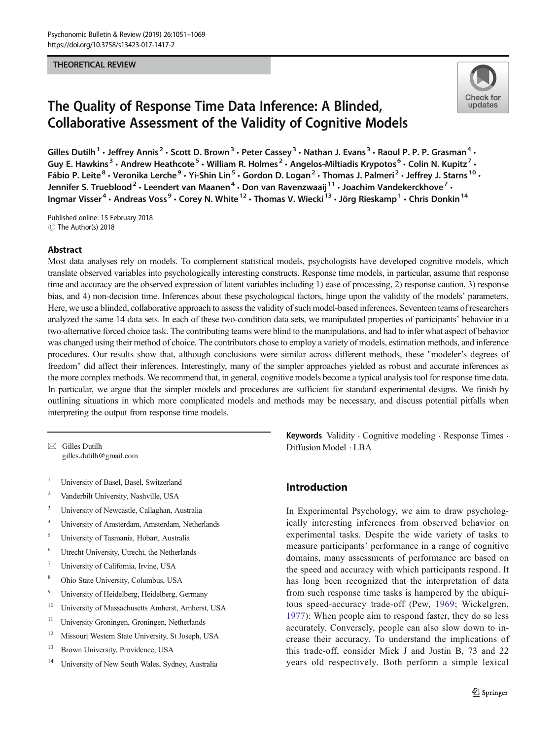### THEORETICAL REVIEW



# The Quality of Response Time Data Inference: A Blinded, Collaborative Assessment of the Validity of Cognitive Models

Gilles Dutilh<sup>1</sup> • Jeffrey Annis<sup>2</sup> • Scott D. Brown<sup>3</sup> • Peter Cassey<sup>3</sup> • Nathan J. Evans<sup>3</sup> • Raoul P. P. P. Grasman<sup>4</sup> • Guy E. Hawkins<sup>3</sup> • Andrew Heathcote<sup>5</sup> • William R. Holmes<sup>2</sup> • Angelos-Miltiadis Krypotos<sup>6</sup> • Colin N. Kupitz<sup>7</sup> • Fábio P. Leite<sup>8</sup> • Veronika Lerche<sup>9</sup> • Yi-Shin Lin<sup>5</sup> • Gordon D. Logan<sup>2</sup> • Thomas J. Palmeri<sup>2</sup> • Jeffrey J. Starns<sup>10</sup> • Jennifer S. Trueblood<sup>2</sup> · Leendert van Maanen<sup>4</sup> · Don van Ravenzwaaij<sup>11</sup> · Joachim Vandekerckhove<sup>7</sup> · Ingmar Visser<sup>4</sup> • Andreas Voss<sup>9</sup> • Corey N. White<sup>12</sup> • Thomas V. Wiecki<sup>13</sup> • Jörg Rieskamp<sup>1</sup> • Chris Donkin<sup>14</sup>

Published online: 15 February 2018 C The Author(s) 2018

### Abstract

Most data analyses rely on models. To complement statistical models, psychologists have developed cognitive models, which translate observed variables into psychologically interesting constructs. Response time models, in particular, assume that response time and accuracy are the observed expression of latent variables including 1) ease of processing, 2) response caution, 3) response bias, and 4) non-decision time. Inferences about these psychological factors, hinge upon the validity of the models' parameters. Here, we use a blinded, collaborative approach to assess the validity of such model-based inferences. Seventeen teams of researchers analyzed the same 14 data sets. In each of these two-condition data sets, we manipulated properties of participants' behavior in a two-alternative forced choice task. The contributing teams were blind to the manipulations, and had to infer what aspect of behavior was changed using their method of choice. The contributors chose to employ a variety of models, estimation methods, and inference procedures. Our results show that, although conclusions were similar across different methods, these "modeler's degrees of freedom" did affect their inferences. Interestingly, many of the simpler approaches yielded as robust and accurate inferences as the more complex methods. We recommend that, in general, cognitive models become a typical analysis tool for response time data. In particular, we argue that the simpler models and procedures are sufficient for standard experimental designs. We finish by outlining situations in which more complicated models and methods may be necessary, and discuss potential pitfalls when interpreting the output from response time models.

 $\boxtimes$  Gilles Dutilh [gilles.dutilh@gmail.com](mailto:gilles.dutilh@gmail.com)

- <sup>1</sup> University of Basel, Basel, Switzerland
- <sup>2</sup> Vanderbilt University, Nashville, USA
- <sup>3</sup> University of Newcastle, Callaghan, Australia
- <sup>4</sup> University of Amsterdam, Amsterdam, Netherlands
- <sup>5</sup> University of Tasmania, Hobart, Australia
- <sup>6</sup> Utrecht University, Utrecht, the Netherlands
- <sup>7</sup> University of California, Irvine, USA
- <sup>8</sup> Ohio State University, Columbus, USA
- <sup>9</sup> University of Heidelberg, Heidelberg, Germany
- <sup>10</sup> University of Massachusetts Amherst, Amherst, USA
- <sup>11</sup> University Groningen, Groningen, Netherlands
- <sup>12</sup> Missouri Western State University, St Joseph, USA
- <sup>13</sup> Brown University, Providence, USA
- <sup>14</sup> University of New South Wales, Sydney, Australia

Keywords Validity · Cognitive modeling · Response Times · Diffusion Model . LBA

# Introduction

In Experimental Psychology, we aim to draw psychologically interesting inferences from observed behavior on experimental tasks. Despite the wide variety of tasks to measure participants' performance in a range of cognitive domains, many assessments of performance are based on the speed and accuracy with which participants respond. It has long been recognized that the interpretation of data from such response time tasks is hampered by the ubiquitous speed-accuracy trade-off (Pew, [1969](#page-17-0); Wickelgren, [1977](#page-18-0)): When people aim to respond faster, they do so less accurately. Conversely, people can also slow down to increase their accuracy. To understand the implications of this trade-off, consider Mick J and Justin B, 73 and 22 years old respectively. Both perform a simple lexical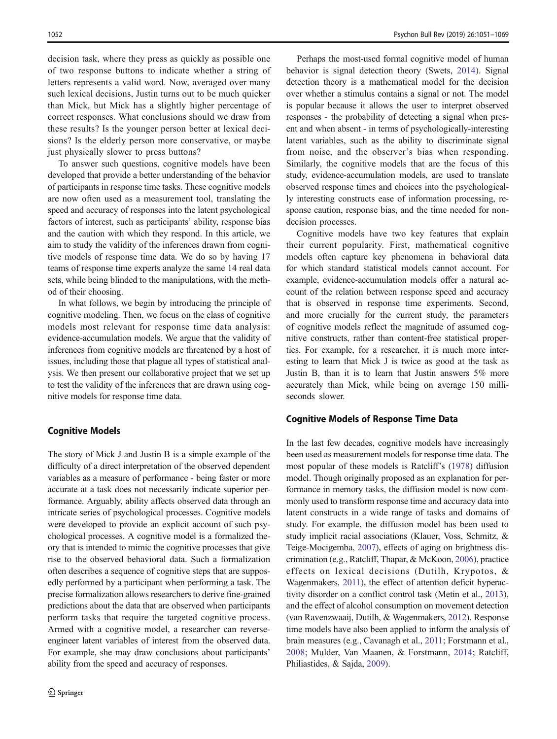decision task, where they press as quickly as possible one of two response buttons to indicate whether a string of letters represents a valid word. Now, averaged over many such lexical decisions, Justin turns out to be much quicker than Mick, but Mick has a slightly higher percentage of correct responses. What conclusions should we draw from these results? Is the younger person better at lexical decisions? Is the elderly person more conservative, or maybe just physically slower to press buttons?

To answer such questions, cognitive models have been developed that provide a better understanding of the behavior of participants in response time tasks. These cognitive models are now often used as a measurement tool, translating the speed and accuracy of responses into the latent psychological factors of interest, such as participants' ability, response bias and the caution with which they respond. In this article, we aim to study the validity of the inferences drawn from cognitive models of response time data. We do so by having 17 teams of response time experts analyze the same 14 real data sets, while being blinded to the manipulations, with the method of their choosing.

In what follows, we begin by introducing the principle of cognitive modeling. Then, we focus on the class of cognitive models most relevant for response time data analysis: evidence-accumulation models. We argue that the validity of inferences from cognitive models are threatened by a host of issues, including those that plague all types of statistical analysis. We then present our collaborative project that we set up to test the validity of the inferences that are drawn using cognitive models for response time data.

### Cognitive Models

The story of Mick J and Justin B is a simple example of the difficulty of a direct interpretation of the observed dependent variables as a measure of performance - being faster or more accurate at a task does not necessarily indicate superior performance. Arguably, ability affects observed data through an intricate series of psychological processes. Cognitive models were developed to provide an explicit account of such psychological processes. A cognitive model is a formalized theory that is intended to mimic the cognitive processes that give rise to the observed behavioral data. Such a formalization often describes a sequence of cognitive steps that are supposedly performed by a participant when performing a task. The precise formalization allows researchers to derive fine-grained predictions about the data that are observed when participants perform tasks that require the targeted cognitive process. Armed with a cognitive model, a researcher can reverseengineer latent variables of interest from the observed data. For example, she may draw conclusions about participants' ability from the speed and accuracy of responses.

Perhaps the most-used formal cognitive model of human behavior is signal detection theory (Swets, [2014\)](#page-18-0). Signal detection theory is a mathematical model for the decision over whether a stimulus contains a signal or not. The model is popular because it allows the user to interpret observed responses - the probability of detecting a signal when present and when absent - in terms of psychologically-interesting latent variables, such as the ability to discriminate signal from noise, and the observer's bias when responding. Similarly, the cognitive models that are the focus of this study, evidence-accumulation models, are used to translate observed response times and choices into the psychologically interesting constructs ease of information processing, response caution, response bias, and the time needed for nondecision processes.

Cognitive models have two key features that explain their current popularity. First, mathematical cognitive models often capture key phenomena in behavioral data for which standard statistical models cannot account. For example, evidence-accumulation models offer a natural account of the relation between response speed and accuracy that is observed in response time experiments. Second, and more crucially for the current study, the parameters of cognitive models reflect the magnitude of assumed cognitive constructs, rather than content-free statistical properties. For example, for a researcher, it is much more interesting to learn that Mick J is twice as good at the task as Justin B, than it is to learn that Justin answers 5% more accurately than Mick, while being on average 150 milliseconds slower.

### Cognitive Models of Response Time Data

In the last few decades, cognitive models have increasingly been used as measurement models for response time data. The most popular of these models is Ratcliff's ([1978](#page-17-0)) diffusion model. Though originally proposed as an explanation for performance in memory tasks, the diffusion model is now commonly used to transform response time and accuracy data into latent constructs in a wide range of tasks and domains of study. For example, the diffusion model has been used to study implicit racial associations (Klauer, Voss, Schmitz, & Teige-Mocigemba, [2007\)](#page-17-0), effects of aging on brightness discrimination (e.g., Ratcliff, Thapar, & McKoon, [2006](#page-18-0)), practice effects on lexical decisions (Dutilh, Krypotos, & Wagenmakers, [2011\)](#page-17-0), the effect of attention deficit hyperactivity disorder on a conflict control task (Metin et al., [2013\)](#page-17-0), and the effect of alcohol consumption on movement detection (van Ravenzwaaij, Dutilh, & Wagenmakers, [2012](#page-18-0)). Response time models have also been applied to inform the analysis of brain measures (e.g., Cavanagh et al., [2011;](#page-17-0) Forstmann et al., [2008](#page-17-0); Mulder, Van Maanen, & Forstmann, [2014](#page-17-0); Ratcliff, Philiastides, & Sajda, [2009\)](#page-17-0).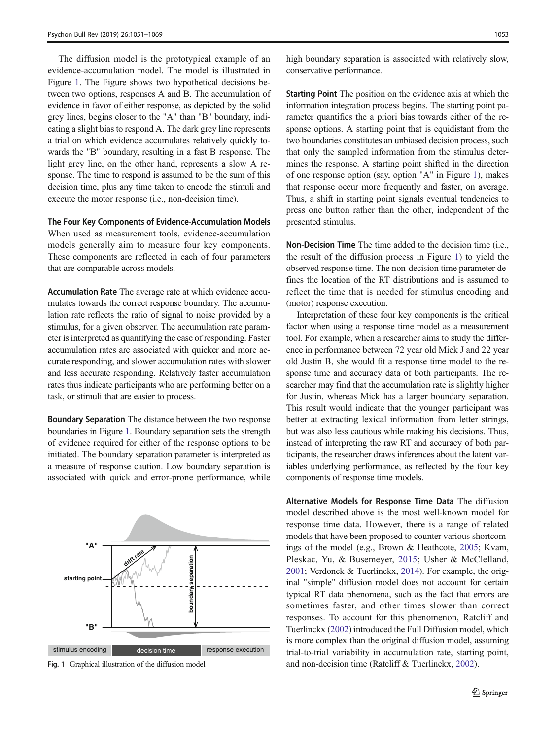The diffusion model is the prototypical example of an evidence-accumulation model. The model is illustrated in Figure 1. The Figure shows two hypothetical decisions between two options, responses A and B. The accumulation of evidence in favor of either response, as depicted by the solid grey lines, begins closer to the "A" than "B" boundary, indicating a slight bias to respond A. The dark grey line represents a trial on which evidence accumulates relatively quickly towards the "B" boundary, resulting in a fast B response. The light grey line, on the other hand, represents a slow A response. The time to respond is assumed to be the sum of this decision time, plus any time taken to encode the stimuli and execute the motor response (i.e., non-decision time).

#### The Four Key Components of Evidence-Accumulation Models

When used as measurement tools, evidence-accumulation models generally aim to measure four key components. These components are reflected in each of four parameters that are comparable across models.

Accumulation Rate The average rate at which evidence accumulates towards the correct response boundary. The accumulation rate reflects the ratio of signal to noise provided by a stimulus, for a given observer. The accumulation rate parameter is interpreted as quantifying the ease of responding. Faster accumulation rates are associated with quicker and more accurate responding, and slower accumulation rates with slower and less accurate responding. Relatively faster accumulation rates thus indicate participants who are performing better on a task, or stimuli that are easier to process.

Boundary Separation The distance between the two response boundaries in Figure 1. Boundary separation sets the strength of evidence required for either of the response options to be initiated. The boundary separation parameter is interpreted as a measure of response caution. Low boundary separation is associated with quick and error-prone performance, while



Fig. 1 Graphical illustration of the diffusion model

high boundary separation is associated with relatively slow. conservative performance.

**Starting Point** The position on the evidence axis at which the information integration process begins. The starting point parameter quantifies the a priori bias towards either of the response options. A starting point that is equidistant from the two boundaries constitutes an unbiased decision process, such that only the sampled information from the stimulus determines the response. A starting point shifted in the direction of one response option (say, option "A" in Figure 1), makes that response occur more frequently and faster, on average. Thus, a shift in starting point signals eventual tendencies to press one button rather than the other, independent of the presented stimulus.

Non-Decision Time The time added to the decision time (i.e., the result of the diffusion process in Figure 1) to yield the observed response time. The non-decision time parameter defines the location of the RT distributions and is assumed to reflect the time that is needed for stimulus encoding and (motor) response execution.

Interpretation of these four key components is the critical factor when using a response time model as a measurement tool. For example, when a researcher aims to study the difference in performance between 72 year old Mick J and 22 year old Justin B, she would fit a response time model to the response time and accuracy data of both participants. The researcher may find that the accumulation rate is slightly higher for Justin, whereas Mick has a larger boundary separation. This result would indicate that the younger participant was better at extracting lexical information from letter strings, but was also less cautious while making his decisions. Thus, instead of interpreting the raw RT and accuracy of both participants, the researcher draws inferences about the latent variables underlying performance, as reflected by the four key components of response time models.

Alternative Models for Response Time Data The diffusion model described above is the most well-known model for response time data. However, there is a range of related models that have been proposed to counter various shortcomings of the model (e.g., Brown & Heathcote, [2005](#page-17-0); Kvam, Pleskac, Yu, & Busemeyer, [2015;](#page-17-0) Usher & McClelland, [2001;](#page-18-0) Verdonck & Tuerlinckx, [2014](#page-18-0)). For example, the original "simple" diffusion model does not account for certain typical RT data phenomena, such as the fact that errors are sometimes faster, and other times slower than correct responses. To account for this phenomenon, Ratcliff and Tuerlinckx [\(2002\)](#page-18-0) introduced the Full Diffusion model, which is more complex than the original diffusion model, assuming trial-to-trial variability in accumulation rate, starting point, and non-decision time (Ratcliff & Tuerlinckx, [2002](#page-18-0)).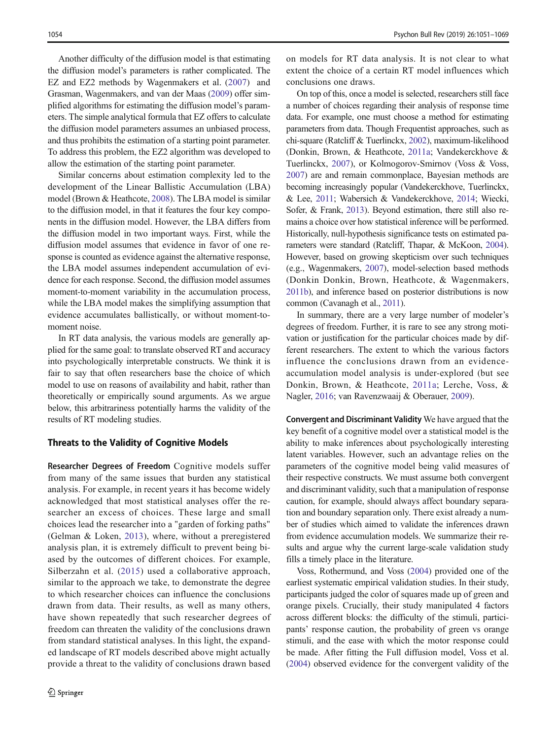Another difficulty of the diffusion model is that estimating the diffusion model's parameters is rather complicated. The EZ and EZ2 methods by Wagenmakers et al. ([2007\)](#page-18-0) and Grasman, Wagenmakers, and van der Maas ([2009](#page-17-0)) offer simplified algorithms for estimating the diffusion model's parameters. The simple analytical formula that EZ offers to calculate the diffusion model parameters assumes an unbiased process, and thus prohibits the estimation of a starting point parameter. To address this problem, the EZ2 algorithm was developed to allow the estimation of the starting point parameter.

Similar concerns about estimation complexity led to the development of the Linear Ballistic Accumulation (LBA) model (Brown & Heathcote, [2008\)](#page-17-0). The LBA model is similar to the diffusion model, in that it features the four key components in the diffusion model. However, the LBA differs from the diffusion model in two important ways. First, while the diffusion model assumes that evidence in favor of one response is counted as evidence against the alternative response, the LBA model assumes independent accumulation of evidence for each response. Second, the diffusion model assumes moment-to-moment variability in the accumulation process, while the LBA model makes the simplifying assumption that evidence accumulates ballistically, or without moment-tomoment noise.

In RT data analysis, the various models are generally applied for the same goal: to translate observed RT and accuracy into psychologically interpretable constructs. We think it is fair to say that often researchers base the choice of which model to use on reasons of availability and habit, rather than theoretically or empirically sound arguments. As we argue below, this arbitrariness potentially harms the validity of the results of RT modeling studies.

#### Threats to the Validity of Cognitive Models

Researcher Degrees of Freedom Cognitive models suffer from many of the same issues that burden any statistical analysis. For example, in recent years it has become widely acknowledged that most statistical analyses offer the researcher an excess of choices. These large and small choices lead the researcher into a "garden of forking paths" (Gelman & Loken, [2013\)](#page-17-0), where, without a preregistered analysis plan, it is extremely difficult to prevent being biased by the outcomes of different choices. For example, Silberzahn et al. [\(2015](#page-18-0)) used a collaborative approach, similar to the approach we take, to demonstrate the degree to which researcher choices can influence the conclusions drawn from data. Their results, as well as many others, have shown repeatedly that such researcher degrees of freedom can threaten the validity of the conclusions drawn from standard statistical analyses. In this light, the expanded landscape of RT models described above might actually provide a threat to the validity of conclusions drawn based on models for RT data analysis. It is not clear to what extent the choice of a certain RT model influences which conclusions one draws.

On top of this, once a model is selected, researchers still face a number of choices regarding their analysis of response time data. For example, one must choose a method for estimating parameters from data. Though Frequentist approaches, such as chi-square (Ratcliff & Tuerlinckx, [2002](#page-18-0)), maximum-likelihood (Donkin, Brown, & Heathcote, [2011a](#page-17-0); Vandekerckhove & Tuerlinckx, [2007\)](#page-18-0), or Kolmogorov-Smirnov (Voss & Voss, [2007\)](#page-18-0) are and remain commonplace, Bayesian methods are becoming increasingly popular (Vandekerckhove, Tuerlinckx, & Lee, [2011;](#page-18-0) Wabersich & Vandekerckhove, [2014](#page-18-0); Wiecki, Sofer, & Frank, [2013\)](#page-18-0). Beyond estimation, there still also remains a choice over how statistical inference will be performed. Historically, null-hypothesis significance tests on estimated parameters were standard (Ratcliff, Thapar, & McKoon, [2004\)](#page-18-0). However, based on growing skepticism over such techniques (e.g., Wagenmakers, [2007](#page-18-0)), model-selection based methods (Donkin Donkin, Brown, Heathcote, & Wagenmakers, [2011b\)](#page-17-0), and inference based on posterior distributions is now common (Cavanagh et al., [2011](#page-17-0)).

In summary, there are a very large number of modeler's degrees of freedom. Further, it is rare to see any strong motivation or justification for the particular choices made by different researchers. The extent to which the various factors influence the conclusions drawn from an evidenceaccumulation model analysis is under-explored (but see Donkin, Brown, & Heathcote, [2011a;](#page-17-0) Lerche, Voss, & Nagler, [2016;](#page-17-0) van Ravenzwaaij & Oberauer, [2009\)](#page-18-0).

Convergent and Discriminant Validity We have argued that the key benefit of a cognitive model over a statistical model is the ability to make inferences about psychologically interesting latent variables. However, such an advantage relies on the parameters of the cognitive model being valid measures of their respective constructs. We must assume both convergent and discriminant validity, such that a manipulation of response caution, for example, should always affect boundary separation and boundary separation only. There exist already a number of studies which aimed to validate the inferences drawn from evidence accumulation models. We summarize their results and argue why the current large-scale validation study fills a timely place in the literature.

Voss, Rothermund, and Voss ([2004](#page-18-0)) provided one of the earliest systematic empirical validation studies. In their study, participants judged the color of squares made up of green and orange pixels. Crucially, their study manipulated 4 factors across different blocks: the difficulty of the stimuli, participants' response caution, the probability of green vs orange stimuli, and the ease with which the motor response could be made. After fitting the Full diffusion model, Voss et al. [\(2004\)](#page-18-0) observed evidence for the convergent validity of the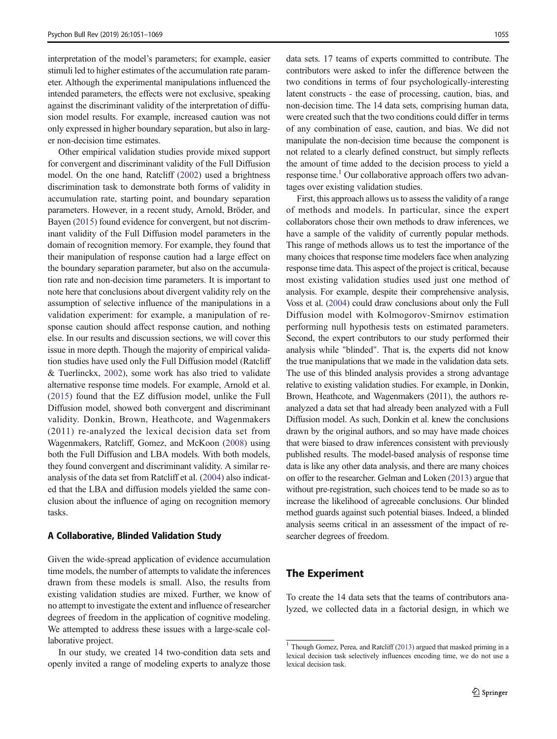interpretation of the model's parameters; for example, easier stimuli led to higher estimates of the accumulation rate parameter. Although the experimental manipulations influenced the intended parameters, the effects were not exclusive, speaking against the discriminant validity of the interpretation of diffusion model results. For example, increased caution was not only expressed in higher boundary separation, but also in larger non-decision time estimates.

Other empirical validation studies provide mixed support for convergent and discriminant validity of the Full Diffusion model. On the one hand, Ratcliff ([2002](#page-17-0)) used a brightness discrimination task to demonstrate both forms of validity in accumulation rate, starting point, and boundary separation parameters. However, in a recent study, Arnold, Bröder, and Bayen [\(2015\)](#page-17-0) found evidence for convergent, but not discriminant validity of the Full Diffusion model parameters in the domain of recognition memory. For example, they found that their manipulation of response caution had a large effect on the boundary separation parameter, but also on the accumulation rate and non-decision time parameters. It is important to note here that conclusions about divergent validity rely on the assumption of selective influence of the manipulations in a validation experiment: for example, a manipulation of response caution should affect response caution, and nothing else. In our results and discussion sections, we will cover this issue in more depth. Though the majority of empirical validation studies have used only the Full Diffusion model (Ratcliff & Tuerlinckx, [2002](#page-18-0)), some work has also tried to validate alternative response time models. For example, Arnold et al. [\(2015](#page-17-0)) found that the EZ diffusion model, unlike the Full Diffusion model, showed both convergent and discriminant validity. Donkin, Brown, Heathcote, and Wagenmakers (2011) re-analyzed the lexical decision data set from Wagenmakers, Ratcliff, Gomez, and McKoon [\(2008](#page-18-0)) using both the Full Diffusion and LBA models. With both models, they found convergent and discriminant validity. A similar reanalysis of the data set from Ratcliff et al. ([2004](#page-18-0)) also indicated that the LBA and diffusion models yielded the same conclusion about the influence of aging on recognition memory tasks.

### A Collaborative, Blinded Validation Study

Given the wide-spread application of evidence accumulation time models, the number of attempts to validate the inferences drawn from these models is small. Also, the results from existing validation studies are mixed. Further, we know of no attempt to investigate the extent and influence of researcher degrees of freedom in the application of cognitive modeling. We attempted to address these issues with a large-scale collaborative project.

In our study, we created 14 two-condition data sets and openly invited a range of modeling experts to analyze those

data sets. 17 teams of experts committed to contribute. The contributors were asked to infer the difference between the two conditions in terms of four psychologically-interesting latent constructs - the ease of processing, caution, bias, and non-decision time. The 14 data sets, comprising human data, were created such that the two conditions could differ in terms of any combination of ease, caution, and bias. We did not manipulate the non-decision time because the component is not related to a clearly defined construct, but simply reflects the amount of time added to the decision process to yield a response time.<sup>1</sup> Our collaborative approach offers two advantages over existing validation studies.

First, this approach allows us to assess the validity of a range of methods and models. In particular, since the expert collaborators chose their own methods to draw inferences, we have a sample of the validity of currently popular methods. This range of methods allows us to test the importance of the many choices that response time modelers face when analyzing response time data. This aspect of the project is critical, because most existing validation studies used just one method of analysis. For example, despite their comprehensive analysis, Voss et al. ([2004\)](#page-18-0) could draw conclusions about only the Full Diffusion model with Kolmogorov-Smirnov estimation performing null hypothesis tests on estimated parameters. Second, the expert contributors to our study performed their analysis while "blinded". That is, the experts did not know the true manipulations that we made in the validation data sets. The use of this blinded analysis provides a strong advantage relative to existing validation studies. For example, in Donkin, Brown, Heathcote, and Wagenmakers (2011), the authors reanalyzed a data set that had already been analyzed with a Full Diffusion model. As such, Donkin et al. knew the conclusions drawn by the original authors, and so may have made choices that were biased to draw inferences consistent with previously published results. The model-based analysis of response time data is like any other data analysis, and there are many choices on offer to the researcher. Gelman and Loken [\(2013\)](#page-17-0) argue that without pre-registration, such choices tend to be made so as to increase the likelihood of agreeable conclusions. Our blinded method guards against such potential biases. Indeed, a blinded analysis seems critical in an assessment of the impact of researcher degrees of freedom.

# The Experiment

To create the 14 data sets that the teams of contributors analyzed, we collected data in a factorial design, in which we

 $1$  Though Gomez, Perea, and Ratcliff [\(2013\)](#page-17-0) argued that masked priming in a lexical decision task selectively influences encoding time, we do not use a lexical decision task.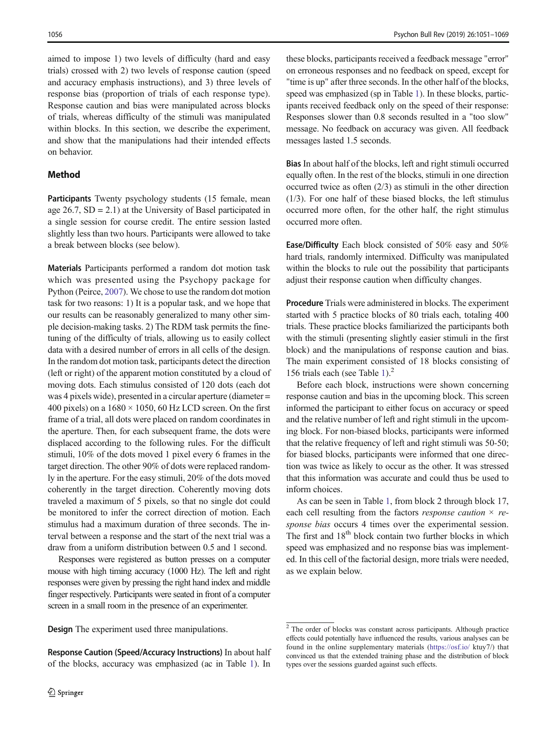aimed to impose 1) two levels of difficulty (hard and easy trials) crossed with 2) two levels of response caution (speed and accuracy emphasis instructions), and 3) three levels of response bias (proportion of trials of each response type). Response caution and bias were manipulated across blocks of trials, whereas difficulty of the stimuli was manipulated within blocks. In this section, we describe the experiment, and show that the manipulations had their intended effects on behavior.

### Method

Participants Twenty psychology students (15 female, mean age  $26.7$ ,  $SD = 2.1$ ) at the University of Basel participated in a single session for course credit. The entire session lasted slightly less than two hours. Participants were allowed to take a break between blocks (see below).

Materials Participants performed a random dot motion task which was presented using the Psychopy package for Python (Peirce, [2007](#page-17-0)). We chose to use the random dot motion task for two reasons: 1) It is a popular task, and we hope that our results can be reasonably generalized to many other simple decision-making tasks. 2) The RDM task permits the finetuning of the difficulty of trials, allowing us to easily collect data with a desired number of errors in all cells of the design. In the random dot motion task, participants detect the direction (left or right) of the apparent motion constituted by a cloud of moving dots. Each stimulus consisted of 120 dots (each dot was 4 pixels wide), presented in a circular aperture (diameter = 400 pixels) on a  $1680 \times 1050$ , 60 Hz LCD screen. On the first frame of a trial, all dots were placed on random coordinates in the aperture. Then, for each subsequent frame, the dots were displaced according to the following rules. For the difficult stimuli, 10% of the dots moved 1 pixel every 6 frames in the target direction. The other 90% of dots were replaced randomly in the aperture. For the easy stimuli, 20% of the dots moved coherently in the target direction. Coherently moving dots traveled a maximum of 5 pixels, so that no single dot could be monitored to infer the correct direction of motion. Each stimulus had a maximum duration of three seconds. The interval between a response and the start of the next trial was a draw from a uniform distribution between 0.5 and 1 second.

Responses were registered as button presses on a computer mouse with high timing accuracy (1000 Hz). The left and right responses were given by pressing the right hand index and middle finger respectively. Participants were seated in front of a computer screen in a small room in the presence of an experimenter.

Design The experiment used three manipulations.

Response Caution (Speed/Accuracy Instructions) In about half of the blocks, accuracy was emphasized (ac in Table [1\)](#page-6-0). In

these blocks, participants received a feedback message "error" on erroneous responses and no feedback on speed, except for "time is up" after three seconds. In the other half of the blocks, speed was emphasized (sp in Table [1\)](#page-6-0). In these blocks, participants received feedback only on the speed of their response: Responses slower than 0.8 seconds resulted in a "too slow" message. No feedback on accuracy was given. All feedback messages lasted 1.5 seconds.

Bias In about half of the blocks, left and right stimuli occurred equally often. In the rest of the blocks, stimuli in one direction occurred twice as often (2/3) as stimuli in the other direction (1/3). For one half of these biased blocks, the left stimulus occurred more often, for the other half, the right stimulus occurred more often.

Ease/Difficulty Each block consisted of 50% easy and 50% hard trials, randomly intermixed. Difficulty was manipulated within the blocks to rule out the possibility that participants adjust their response caution when difficulty changes.

Procedure Trials were administered in blocks. The experiment started with 5 practice blocks of 80 trials each, totaling 400 trials. These practice blocks familiarized the participants both with the stimuli (presenting slightly easier stimuli in the first block) and the manipulations of response caution and bias. The main experiment consisted of 18 blocks consisting of 156 trials each (see Table [1\)](#page-6-0).2

Before each block, instructions were shown concerning response caution and bias in the upcoming block. This screen informed the participant to either focus on accuracy or speed and the relative number of left and right stimuli in the upcoming block. For non-biased blocks, participants were informed that the relative frequency of left and right stimuli was 50-50; for biased blocks, participants were informed that one direction was twice as likely to occur as the other. It was stressed that this information was accurate and could thus be used to inform choices.

As can be seen in Table [1](#page-6-0), from block 2 through block 17, each cell resulting from the factors *response caution*  $\times$  *re*sponse bias occurs 4 times over the experimental session. The first and 18<sup>th</sup> block contain two further blocks in which speed was emphasized and no response bias was implemented. In this cell of the factorial design, more trials were needed, as we explain below.

<sup>2</sup> The order of blocks was constant across participants. Although practice effects could potentially have influenced the results, various analyses can be found in the online supplementary materials (<https://osf.io/> ktuy7/) that convinced us that the extended training phase and the distribution of block types over the sessions guarded against such effects.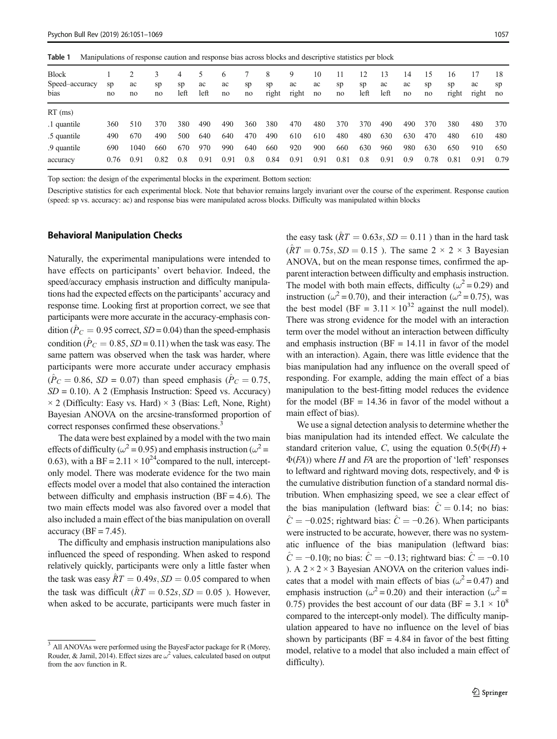<span id="page-6-0"></span>

| Table 1<br>Manipulations of response caution and response bias across blocks and descriptive statistics per block |          |          |          |            |            |          |          |             |             |          |          |            |            |          |          |             |             |          |
|-------------------------------------------------------------------------------------------------------------------|----------|----------|----------|------------|------------|----------|----------|-------------|-------------|----------|----------|------------|------------|----------|----------|-------------|-------------|----------|
| <b>Block</b>                                                                                                      |          |          | 3        | 4          |            | 6        |          | 8           | 9           | 10       | 11       |            | 13         | 14       | 15       | 16          |             | 18       |
| Speed-accuracy<br>bias                                                                                            | sp<br>no | ac<br>no | sp<br>no | sp<br>left | ac<br>left | ac<br>no | sp<br>no | sp<br>right | ac<br>right | ac<br>no | sp<br>no | sp<br>left | ac<br>left | ac<br>no | sp<br>no | sp<br>right | ac<br>right | sp<br>no |
| $RT$ (ms)                                                                                                         |          |          |          |            |            |          |          |             |             |          |          |            |            |          |          |             |             |          |
| .1 quantile                                                                                                       | 360      | 510      | 370      | 380        | 490        | 490      | 360      | 380         | 470         | 480      | 370      | 370        | 490        | 490      | 370      | 380         | 480         | 370      |
| .5 quantile                                                                                                       | 490      | 670      | 490      | 500        | 640        | 640      | 470      | 490         | 610         | 610      | 480      | 480        | 630        | 630      | 470      | 480         | 610         | 480      |
| .9 quantile                                                                                                       | 690      | 1040     | 660      | 670        | 970        | 990      | 640      | 660         | 920         | 900      | 660      | 630        | 960        | 980      | 630      | 650         | 910         | 650      |
| accuracy                                                                                                          | 0.76     | 0.91     | 0.82     | 0.8        | 0.91       | 0.91     | 0.8      | 0.84        | 0.91        | 0.91     | 0.81     | 0.8        | 0.91       | 0.9      | 0.78     | 0.81        | 0.91        | 0.79     |

Top section: the design of the experimental blocks in the experiment. Bottom section:

Descriptive statistics for each experimental block. Note that behavior remains largely invariant over the course of the experiment. Response caution (speed: sp vs. accuracy: ac) and response bias were manipulated across blocks. Difficulty was manipulated within blocks

#### Behavioral Manipulation Checks

Naturally, the experimental manipulations were intended to have effects on participants' overt behavior. Indeed, the speed/accuracy emphasis instruction and difficulty manipulations had the expected effects on the participants' accuracy and response time. Looking first at proportion correct, we see that participants were more accurate in the accuracy-emphasis condition ( $\hat{P}_C = 0.95$  correct,  $SD = 0.04$ ) than the speed-emphasis condition ( $\hat{P}_C = 0.85$ , SD = 0.11) when the task was easy. The same pattern was observed when the task was harder, where participants were more accurate under accuracy emphasis  $(\dot{P}_C = 0.86, SD = 0.07)$  than speed emphasis ( $\dot{P}_C = 0.75$ ,  $SD = 0.10$ ). A 2 (Emphasis Instruction: Speed vs. Accuracy)  $\times$  2 (Difficulty: Easy vs. Hard)  $\times$  3 (Bias: Left, None, Right) Bayesian ANOVA on the arcsine-transformed proportion of correct responses confirmed these observations.<sup>3</sup>

The data were best explained by a model with the two main effects of difficulty ( $\omega^2$  = 0.95) and emphasis instruction ( $\omega^2$  = 0.63), with a BF =  $2.11 \times 10^{24}$ compared to the null, interceptonly model. There was moderate evidence for the two main effects model over a model that also contained the interaction between difficulty and emphasis instruction  $(BF = 4.6)$ . The two main effects model was also favored over a model that also included a main effect of the bias manipulation on overall accuracy ( $BF = 7.45$ ).

The difficulty and emphasis instruction manipulations also influenced the speed of responding. When asked to respond relatively quickly, participants were only a little faster when the task was easy  $RT = 0.49s$ ,  $SD = 0.05$  compared to when the task was difficult ( $\hat{R}T = 0.52s$ ,  $SD = 0.05$  ). However, when asked to be accurate, participants were much faster in the easy task ( $\hat{R}T = 0.63s$ ,  $SD = 0.11$ ) than in the hard task  $(\hat{R}T = 0.75s, SD = 0.15$  ). The same  $2 \times 2 \times 3$  Bayesian ANOVA, but on the mean response times, confirmed the apparent interaction between difficulty and emphasis instruction. The model with both main effects, difficulty ( $\omega^2$  = 0.29) and instruction ( $\omega^2$  = 0.70), and their interaction ( $\omega^2$  = 0.75), was the best model (BF =  $3.11 \times 10^{32}$  against the null model). There was strong evidence for the model with an interaction term over the model without an interaction between difficulty and emphasis instruction  $(BF = 14.11$  in favor of the model with an interaction). Again, there was little evidence that the bias manipulation had any influence on the overall speed of responding. For example, adding the main effect of a bias manipulation to the best-fitting model reduces the evidence for the model ( $BF = 14.36$  in favor of the model without a main effect of bias).

We use a signal detection analysis to determine whether the bias manipulation had its intended effect. We calculate the standard criterion value, C, using the equation  $0.5(\Phi(H) +$  $\Phi$ (*FA*)) where *H* and *FA* are the proportion of 'left' responses to leftward and rightward moving dots, respectively, and  $\Phi$  is the cumulative distribution function of a standard normal distribution. When emphasizing speed, we see a clear effect of the bias manipulation (leftward bias:  $\hat{C} = 0.14$ ; no bias:  $\hat{C} = -0.025$ ; rightward bias:  $\hat{C} = -0.26$ ). When participants were instructed to be accurate, however, there was no systematic influence of the bias manipulation (leftward bias:  $\hat{C} = -0.10$ ; no bias:  $\hat{C} = -0.13$ ; rightward bias:  $\hat{C} = -0.10$ ). A  $2 \times 2 \times 3$  Bayesian ANOVA on the criterion values indicates that a model with main effects of bias ( $\omega^2$  = 0.47) and emphasis instruction ( $\omega^2$  = 0.20) and their interaction ( $\omega^2$  = 0.75) provides the best account of our data (BF =  $3.1 \times 10^8$ ) compared to the intercept-only model). The difficulty manipulation appeared to have no influence on the level of bias shown by participants ( $BF = 4.84$  in favor of the best fitting model, relative to a model that also included a main effect of difficulty).

<sup>3</sup> All ANOVAs were performed using the BayesFactor package for R (Morey, Rouder, & Jamil, 2014). Effect sizes are  $\omega^2$  values, calculated based on output from the aov function in R.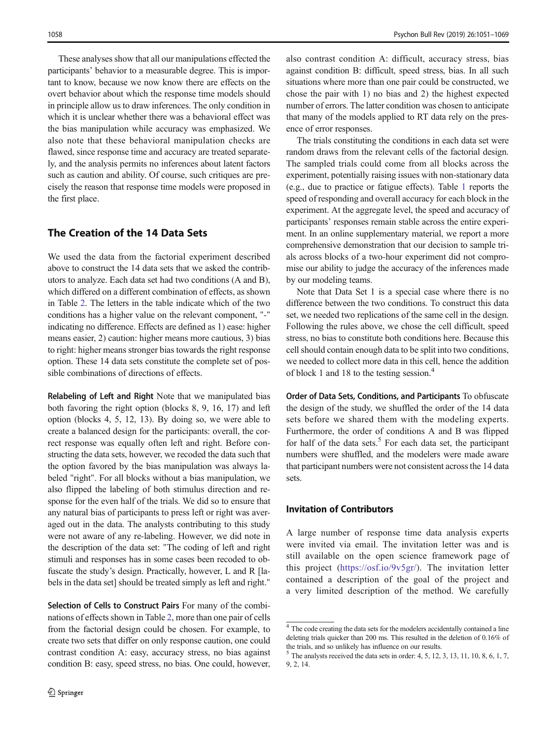These analyses show that all our manipulations effected the participants' behavior to a measurable degree. This is important to know, because we now know there are effects on the overt behavior about which the response time models should in principle allow us to draw inferences. The only condition in which it is unclear whether there was a behavioral effect was the bias manipulation while accuracy was emphasized. We also note that these behavioral manipulation checks are flawed, since response time and accuracy are treated separately, and the analysis permits no inferences about latent factors such as caution and ability. Of course, such critiques are precisely the reason that response time models were proposed in the first place.

# The Creation of the 14 Data Sets

We used the data from the factorial experiment described above to construct the 14 data sets that we asked the contributors to analyze. Each data set had two conditions (A and B), which differed on a different combination of effects, as shown in Table [2.](#page-8-0) The letters in the table indicate which of the two conditions has a higher value on the relevant component, "-" indicating no difference. Effects are defined as 1) ease: higher means easier, 2) caution: higher means more cautious, 3) bias to right: higher means stronger bias towards the right response option. These 14 data sets constitute the complete set of possible combinations of directions of effects.

Relabeling of Left and Right Note that we manipulated bias both favoring the right option (blocks 8, 9, 16, 17) and left option (blocks 4, 5, 12, 13). By doing so, we were able to create a balanced design for the participants: overall, the correct response was equally often left and right. Before constructing the data sets, however, we recoded the data such that the option favored by the bias manipulation was always labeled "right". For all blocks without a bias manipulation, we also flipped the labeling of both stimulus direction and response for the even half of the trials. We did so to ensure that any natural bias of participants to press left or right was averaged out in the data. The analysts contributing to this study were not aware of any re-labeling. However, we did note in the description of the data set: "The coding of left and right stimuli and responses has in some cases been recoded to obfuscate the study's design. Practically, however, L and R [labels in the data set] should be treated simply as left and right."

Selection of Cells to Construct Pairs For many of the combinations of effects shown in Table [2,](#page-8-0) more than one pair of cells from the factorial design could be chosen. For example, to create two sets that differ on only response caution, one could contrast condition A: easy, accuracy stress, no bias against condition B: easy, speed stress, no bias. One could, however,

also contrast condition A: difficult, accuracy stress, bias against condition B: difficult, speed stress, bias. In all such situations where more than one pair could be constructed, we chose the pair with 1) no bias and 2) the highest expected number of errors. The latter condition was chosen to anticipate that many of the models applied to RT data rely on the presence of error responses.

The trials constituting the conditions in each data set were random draws from the relevant cells of the factorial design. The sampled trials could come from all blocks across the experiment, potentially raising issues with non-stationary data (e.g., due to practice or fatigue effects). Table [1](#page-6-0) reports the speed of responding and overall accuracy for each block in the experiment. At the aggregate level, the speed and accuracy of participants' responses remain stable across the entire experiment. In an online supplementary material, we report a more comprehensive demonstration that our decision to sample trials across blocks of a two-hour experiment did not compromise our ability to judge the accuracy of the inferences made by our modeling teams.

Note that Data Set 1 is a special case where there is no difference between the two conditions. To construct this data set, we needed two replications of the same cell in the design. Following the rules above, we chose the cell difficult, speed stress, no bias to constitute both conditions here. Because this cell should contain enough data to be split into two conditions, we needed to collect more data in this cell, hence the addition of block 1 and 18 to the testing session.4

Order of Data Sets, Conditions, and Participants To obfuscate the design of the study, we shuffled the order of the 14 data sets before we shared them with the modeling experts. Furthermore, the order of conditions A and B was flipped for half of the data sets. $5$  For each data set, the participant numbers were shuffled, and the modelers were made aware that participant numbers were not consistent across the 14 data sets.

### Invitation of Contributors

A large number of response time data analysis experts were invited via email. The invitation letter was and is still available on the open science framework page of this project ([https://osf.io/9v5gr/](https://osf.io/9v5gr)). The invitation letter contained a description of the goal of the project and a very limited description of the method. We carefully

<sup>&</sup>lt;sup>4</sup> The code creating the data sets for the modelers accidentally contained a line deleting trials quicker than 200 ms. This resulted in the deletion of 0.16% of the trials, and so unlikely has influence on our results.

 $^5$  The analysts received the data sets in order: 4, 5, 12, 3, 13, 11, 10, 8, 6, 1, 7, 9, 2, 14.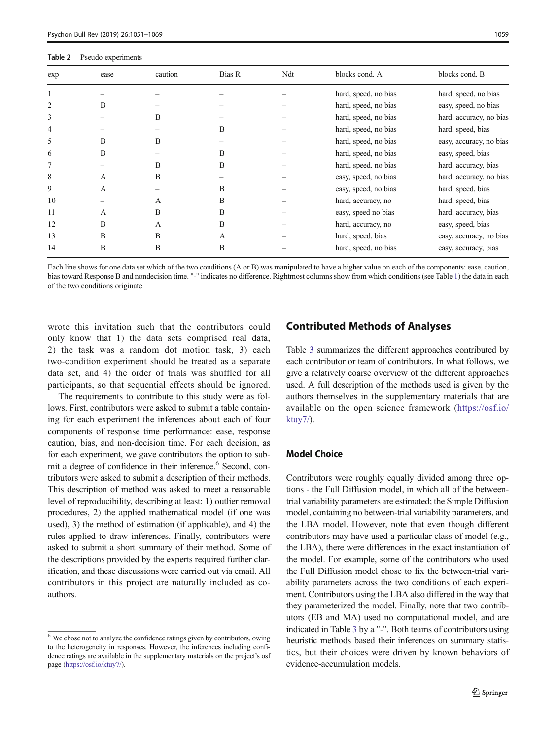#### <span id="page-8-0"></span>Table 2 Pseudo experiments

| exp            | ease         | caution      | Bias R | Ndt | blocks cond. A       | blocks cond. B          |
|----------------|--------------|--------------|--------|-----|----------------------|-------------------------|
|                |              |              |        |     | hard, speed, no bias | hard, speed, no bias    |
| $\overline{2}$ | B            |              |        |     | hard, speed, no bias | easy, speed, no bias    |
| 3              |              | B            |        |     | hard, speed, no bias | hard, accuracy, no bias |
| $\overline{4}$ |              |              | B      |     | hard, speed, no bias | hard, speed, bias       |
| 5              | B            | B            |        |     | hard, speed, no bias | easy, accuracy, no bias |
| 6              | B            |              | B      |     | hard, speed, no bias | easy, speed, bias       |
| 7              |              | B            | B      |     | hard, speed, no bias | hard, accuracy, bias    |
| 8              | A            | B            |        |     | easy, speed, no bias | hard, accuracy, no bias |
| 9              | $\mathsf{A}$ |              | B      |     | easy, speed, no bias | hard, speed, bias       |
| 10             |              | A            | B      |     | hard, accuracy, no   | hard, speed, bias       |
| 11             | A            | B            | B      |     | easy, speed no bias  | hard, accuracy, bias    |
| 12             | B            | $\mathbf{A}$ | B      |     | hard, accuracy, no   | easy, speed, bias       |
| 13             | B            | B            | A      |     | hard, speed, bias    | easy, accuracy, no bias |
| 14             | B            | B            | B      |     | hard, speed, no bias | easy, accuracy, bias    |
|                |              |              |        |     |                      |                         |

Each line shows for one data set which of the two conditions (A or B) was manipulated to have a higher value on each of the components: ease, caution, bias toward Response B and nondecision time. "-" indicates no difference. Rightmost columns show from which conditions (see Table [1\)](#page-6-0) the data in each of the two conditions originate

wrote this invitation such that the contributors could only know that 1) the data sets comprised real data, 2) the task was a random dot motion task, 3) each two-condition experiment should be treated as a separate data set, and 4) the order of trials was shuffled for all participants, so that sequential effects should be ignored.

The requirements to contribute to this study were as follows. First, contributors were asked to submit a table containing for each experiment the inferences about each of four components of response time performance: ease, response caution, bias, and non-decision time. For each decision, as for each experiment, we gave contributors the option to submit a degree of confidence in their inference.<sup>6</sup> Second, contributors were asked to submit a description of their methods. This description of method was asked to meet a reasonable level of reproducibility, describing at least: 1) outlier removal procedures, 2) the applied mathematical model (if one was used), 3) the method of estimation (if applicable), and 4) the rules applied to draw inferences. Finally, contributors were asked to submit a short summary of their method. Some of the descriptions provided by the experts required further clarification, and these discussions were carried out via email. All contributors in this project are naturally included as coauthors.

# Contributed Methods of Analyses

Table [3](#page-9-0) summarizes the different approaches contributed by each contributor or team of contributors. In what follows, we give a relatively coarse overview of the different approaches used. A full description of the methods used is given by the authors themselves in the supplementary materials that are available on the open science framework ([https://osf.io/](https://osf.io/ktuy7/) [ktuy7/\)](https://osf.io/ktuy7/).

### Model Choice

Contributors were roughly equally divided among three options - the Full Diffusion model, in which all of the betweentrial variability parameters are estimated; the Simple Diffusion model, containing no between-trial variability parameters, and the LBA model. However, note that even though different contributors may have used a particular class of model (e.g., the LBA), there were differences in the exact instantiation of the model. For example, some of the contributors who used the Full Diffusion model chose to fix the between-trial variability parameters across the two conditions of each experiment. Contributors using the LBA also differed in the way that they parameterized the model. Finally, note that two contributors (EB and MA) used no computational model, and are indicated in Table [3](#page-9-0) by a "-". Both teams of contributors using heuristic methods based their inferences on summary statistics, but their choices were driven by known behaviors of evidence-accumulation models.

<sup>6</sup> We chose not to analyze the confidence ratings given by contributors, owing to the heterogeneity in responses. However, the inferences including confidence ratings are available in the supplementary materials on the project's osf page [\(https://osf.io/ktuy7/\)](https://osf.io/ktuy7/).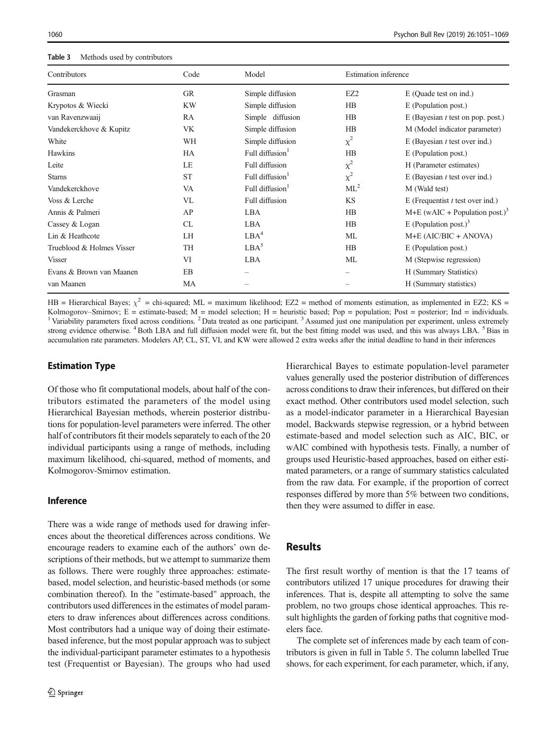<span id="page-9-0"></span>Table 3 Methods used by contributors

| Code      | Model                       |                 |                                              |
|-----------|-----------------------------|-----------------|----------------------------------------------|
| GR        | Simple diffusion            | EZ <sub>2</sub> | E (Quade test on ind.)                       |
| KW        | Simple diffusion            | HB              | E (Population post.)                         |
| RA        | Simple diffusion            | HB              | $E$ (Bayesian t test on pop. post.)          |
| VK.       | Simple diffusion            | $_{\rm HB}$     | M (Model indicator parameter)                |
| WH        | Simple diffusion            | $\chi^2$        | $E$ (Bayesian $t$ test over ind.)            |
| <b>HA</b> | Full diffusion $1$          | HB              | E (Population post.)                         |
| LE        | Full diffusion              | $\chi^2$        | H (Parameter estimates)                      |
| <b>ST</b> | Full diffusion <sup>1</sup> | $\chi^2$        | $E$ (Bayesian t test over ind.)              |
| VA        | Full diffusion <sup>1</sup> | $ML^2$          | M (Wald test)                                |
| VL        | Full diffusion              | KS              | $E$ (Frequentist t test over ind.)           |
| AP        | <b>LBA</b>                  | $_{\rm HB}$     | $M+E$ (wAIC + Population post.) <sup>3</sup> |
| CL.       | <b>LBA</b>                  | HB              | E (Population post.) <sup>3</sup>            |
| LH        | LBA <sup>4</sup>            | ML              | M+E (AIC/BIC + ANOVA)                        |
| TH        | LBA <sup>5</sup>            | $_{\rm HB}$     | E (Population post.)                         |
| VI        | LBA                         | МL              | M (Stepwise regression)                      |
| EB        | -                           | $\equiv$        | H (Summary Statistics)                       |
| MA        |                             |                 | H (Summary statistics)                       |
|           |                             |                 | Estimation inference                         |

HB = Hierarchical Bayes;  $\chi^2$  = chi-squared; ML = maximum likelihood; EZ2 = method of moments estimation, as implemented in EZ2; KS = Kolmogorov–Smirnov; E = estimate-based; M = model selection; H = heuristic based; Pop = population; Post = posterior; Ind = individuals.<br><sup>1</sup> Variability parameters fixed across conditions. <sup>2</sup> Data treated as one particip strong evidence otherwise. <sup>4</sup>Both LBA and full diffusion model were fit, but the best fitting model was used, and this was always LBA. <sup>5</sup>Bias in accumulation rate parameters. Modelers AP, CL, ST, VI, and KW were allowed 2 extra weeks after the initial deadline to hand in their inferences

### Estimation Type

Of those who fit computational models, about half of the contributors estimated the parameters of the model using Hierarchical Bayesian methods, wherein posterior distributions for population-level parameters were inferred. The other half of contributors fit their models separately to each of the 20 individual participants using a range of methods, including maximum likelihood, chi-squared, method of moments, and Kolmogorov-Smirnov estimation.

### Inference

There was a wide range of methods used for drawing inferences about the theoretical differences across conditions. We encourage readers to examine each of the authors' own descriptions of their methods, but we attempt to summarize them as follows. There were roughly three approaches: estimatebased, model selection, and heuristic-based methods (or some combination thereof). In the "estimate-based" approach, the contributors used differences in the estimates of model parameters to draw inferences about differences across conditions. Most contributors had a unique way of doing their estimatebased inference, but the most popular approach was to subject the individual-participant parameter estimates to a hypothesis test (Frequentist or Bayesian). The groups who had used Hierarchical Bayes to estimate population-level parameter values generally used the posterior distribution of differences across conditions to draw their inferences, but differed on their exact method. Other contributors used model selection, such as a model-indicator parameter in a Hierarchical Bayesian model, Backwards stepwise regression, or a hybrid between estimate-based and model selection such as AIC, BIC, or wAIC combined with hypothesis tests. Finally, a number of groups used Heuristic-based approaches, based on either estimated parameters, or a range of summary statistics calculated from the raw data. For example, if the proportion of correct responses differed by more than 5% between two conditions, then they were assumed to differ in ease.

# Results

The first result worthy of mention is that the 17 teams of contributors utilized 17 unique procedures for drawing their inferences. That is, despite all attempting to solve the same problem, no two groups chose identical approaches. This result highlights the garden of forking paths that cognitive modelers face.

The complete set of inferences made by each team of contributors is given in full in Table [5.](#page-14-0) The column labelled True shows, for each experiment, for each parameter, which, if any,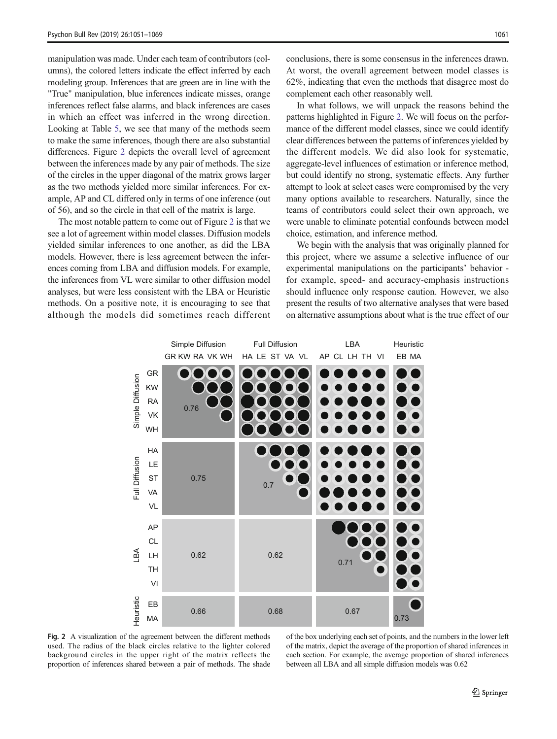manipulation was made. Under each team of contributors (columns), the colored letters indicate the effect inferred by each modeling group. Inferences that are green are in line with the "True" manipulation, blue inferences indicate misses, orange inferences reflect false alarms, and black inferences are cases in which an effect was inferred in the wrong direction. Looking at Table [5](#page-14-0), we see that many of the methods seem to make the same inferences, though there are also substantial differences. Figure 2 depicts the overall level of agreement between the inferences made by any pair of methods. The size of the circles in the upper diagonal of the matrix grows larger as the two methods yielded more similar inferences. For example, AP and CL differed only in terms of one inference (out of 56), and so the circle in that cell of the matrix is large.

The most notable pattern to come out of Figure 2 is that we see a lot of agreement within model classes. Diffusion models yielded similar inferences to one another, as did the LBA models. However, there is less agreement between the inferences coming from LBA and diffusion models. For example, the inferences from VL were similar to other diffusion model analyses, but were less consistent with the LBA or Heuristic methods. On a positive note, it is encouraging to see that although the models did sometimes reach different conclusions, there is some consensus in the inferences drawn. At worst, the overall agreement between model classes is 62%, indicating that even the methods that disagree most do complement each other reasonably well.

In what follows, we will unpack the reasons behind the patterns highlighted in Figure 2. We will focus on the performance of the different model classes, since we could identify clear differences between the patterns of inferences yielded by the different models. We did also look for systematic, aggregate-level influences of estimation or inference method, but could identify no strong, systematic effects. Any further attempt to look at select cases were compromised by the very many options available to researchers. Naturally, since the teams of contributors could select their own approach, we were unable to eliminate potential confounds between model choice, estimation, and inference method.

We begin with the analysis that was originally planned for this project, where we assume a selective influence of our experimental manipulations on the participants' behavior for example, speed- and accuracy-emphasis instructions should influence only response caution. However, we also present the results of two alternative analyses that were based on alternative assumptions about what is the true effect of our



Fig. 2 A visualization of the agreement between the different methods used. The radius of the black circles relative to the lighter colored background circles in the upper right of the matrix reflects the proportion of inferences shared between a pair of methods. The shade

of the box underlying each set of points, and the numbers in the lower left of the matrix, depict the average of the proportion of shared inferences in each section. For example, the average proportion of shared inferences between all LBA and all simple diffusion models was 0.62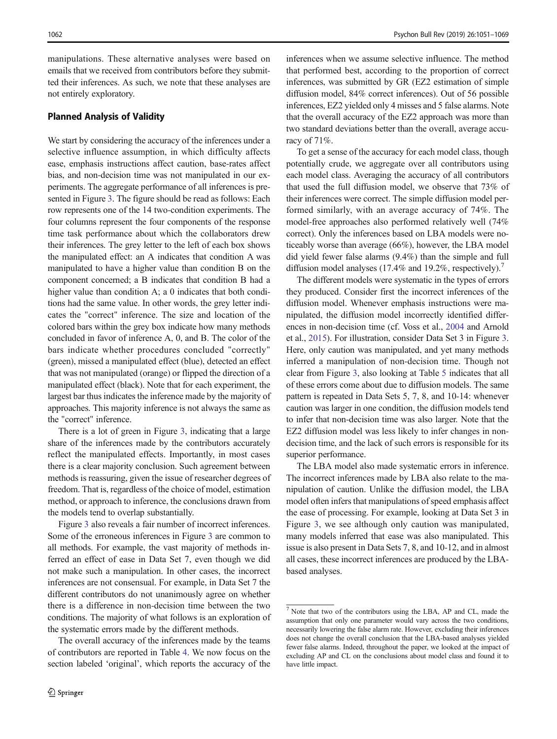manipulations. These alternative analyses were based on emails that we received from contributors before they submitted their inferences. As such, we note that these analyses are not entirely exploratory.

#### Planned Analysis of Validity

We start by considering the accuracy of the inferences under a selective influence assumption, in which difficulty affects ease, emphasis instructions affect caution, base-rates affect bias, and non-decision time was not manipulated in our experiments. The aggregate performance of all inferences is presented in Figure [3](#page-12-0). The figure should be read as follows: Each row represents one of the 14 two-condition experiments. The four columns represent the four components of the response time task performance about which the collaborators drew their inferences. The grey letter to the left of each box shows the manipulated effect: an A indicates that condition A was manipulated to have a higher value than condition B on the component concerned; a B indicates that condition B had a higher value than condition A; a 0 indicates that both conditions had the same value. In other words, the grey letter indicates the "correct" inference. The size and location of the colored bars within the grey box indicate how many methods concluded in favor of inference A, 0, and B. The color of the bars indicate whether procedures concluded "correctly" (green), missed a manipulated effect (blue), detected an effect that was not manipulated (orange) or flipped the direction of a manipulated effect (black). Note that for each experiment, the largest bar thus indicates the inference made by the majority of approaches. This majority inference is not always the same as the "correct" inference.

There is a lot of green in Figure [3,](#page-12-0) indicating that a large share of the inferences made by the contributors accurately reflect the manipulated effects. Importantly, in most cases there is a clear majority conclusion. Such agreement between methods is reassuring, given the issue of researcher degrees of freedom. That is, regardless of the choice of model, estimation method, or approach to inference, the conclusions drawn from the models tend to overlap substantially.

Figure [3](#page-12-0) also reveals a fair number of incorrect inferences. Some of the erroneous inferences in Figure [3](#page-12-0) are common to all methods. For example, the vast majority of methods inferred an effect of ease in Data Set 7, even though we did not make such a manipulation. In other cases, the incorrect inferences are not consensual. For example, in Data Set 7 the different contributors do not unanimously agree on whether there is a difference in non-decision time between the two conditions. The majority of what follows is an exploration of the systematic errors made by the different methods.

The overall accuracy of the inferences made by the teams of contributors are reported in Table [4](#page-12-0). We now focus on the section labeled 'original', which reports the accuracy of the inferences when we assume selective influence. The method that performed best, according to the proportion of correct inferences, was submitted by GR (EZ2 estimation of simple diffusion model, 84% correct inferences). Out of 56 possible inferences, EZ2 yielded only 4 misses and 5 false alarms. Note that the overall accuracy of the EZ2 approach was more than two standard deviations better than the overall, average accuracy of 71%.

To get a sense of the accuracy for each model class, though potentially crude, we aggregate over all contributors using each model class. Averaging the accuracy of all contributors that used the full diffusion model, we observe that 73% of their inferences were correct. The simple diffusion model performed similarly, with an average accuracy of 74%. The model-free approaches also performed relatively well (74% correct). Only the inferences based on LBA models were noticeably worse than average (66%), however, the LBA model did yield fewer false alarms (9.4%) than the simple and full diffusion model analyses (17.4% and 19.2%, respectively).<sup>7</sup>

The different models were systematic in the types of errors they produced. Consider first the incorrect inferences of the diffusion model. Whenever emphasis instructions were manipulated, the diffusion model incorrectly identified differences in non-decision time (cf. Voss et al., [2004](#page-18-0) and Arnold et al., [2015\)](#page-17-0). For illustration, consider Data Set 3 in Figure [3.](#page-12-0) Here, only caution was manipulated, and yet many methods inferred a manipulation of non-decision time. Though not clear from Figure [3](#page-12-0), also looking at Table [5](#page-14-0) indicates that all of these errors come about due to diffusion models. The same pattern is repeated in Data Sets 5, 7, 8, and 10-14: whenever caution was larger in one condition, the diffusion models tend to infer that non-decision time was also larger. Note that the EZ2 diffusion model was less likely to infer changes in nondecision time, and the lack of such errors is responsible for its superior performance.

The LBA model also made systematic errors in inference. The incorrect inferences made by LBA also relate to the manipulation of caution. Unlike the diffusion model, the LBA model often infers that manipulations of speed emphasis affect the ease of processing. For example, looking at Data Set 3 in Figure [3](#page-12-0), we see although only caution was manipulated, many models inferred that ease was also manipulated. This issue is also present in Data Sets 7, 8, and 10-12, and in almost all cases, these incorrect inferences are produced by the LBAbased analyses.

 $\sqrt{7}$  Note that two of the contributors using the LBA, AP and CL, made the assumption that only one parameter would vary across the two conditions, necessarily lowering the false alarm rate. However, excluding their inferences does not change the overall conclusion that the LBA-based analyses yielded fewer false alarms. Indeed, throughout the paper, we looked at the impact of excluding AP and CL on the conclusions about model class and found it to have little impact.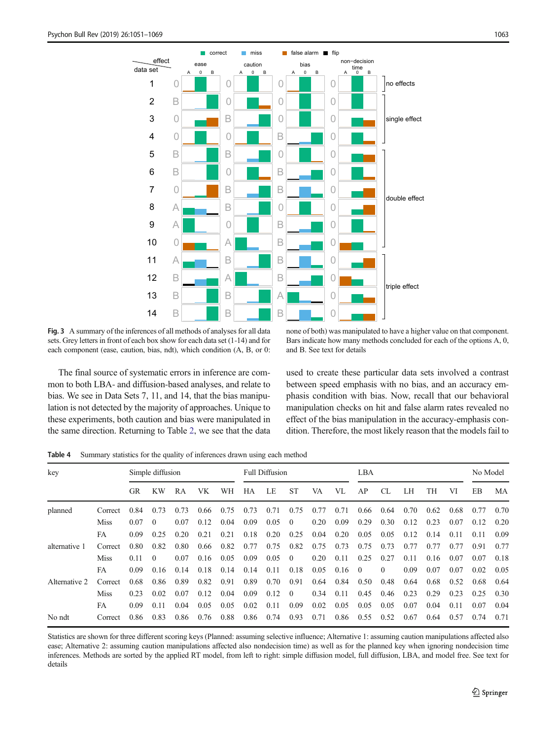<span id="page-12-0"></span>

Fig. 3 A summary of the inferences of all methods of analyses for all data sets. Grey letters in front of each box show for each data set (1-14) and for each component (ease, caution, bias, ndt), which condition (A, B, or 0:

The final source of systematic errors in inference are common to both LBA- and diffusion-based analyses, and relate to bias. We see in Data Sets 7, 11, and 14, that the bias manipulation is not detected by the majority of approaches. Unique to these experiments, both caution and bias were manipulated in the same direction. Returning to Table [2,](#page-8-0) we see that the data

none of both) was manipulated to have a higher value on that component. Bars indicate how many methods concluded for each of the options A, 0, and B. See text for details

used to create these particular data sets involved a contrast between speed emphasis with no bias, and an accuracy emphasis condition with bias. Now, recall that our behavioral manipulation checks on hit and false alarm rates revealed no effect of the bias manipulation in the accuracy-emphasis condition. Therefore, the most likely reason that the models fail to

Table 4 Summary statistics for the quality of inferences drawn using each method

| key           |             |      | Simple diffusion |           |      | <b>Full Diffusion</b> |      |      |           | LBA  | No Model       |      |           |      |      |      |      |      |
|---------------|-------------|------|------------------|-----------|------|-----------------------|------|------|-----------|------|----------------|------|-----------|------|------|------|------|------|
|               |             | GR   | KW               | <b>RA</b> | VK.  | WH                    | HA   | LE   | <b>ST</b> | VA   | VL             | AP   | <b>CL</b> | LH   | TH   | VI   | EB   | MA   |
| planned       | Correct     | 0.84 | 0.73             | 0.73      | 0.66 | 0.75                  | 0.73 | 0.71 | 0.75      | 0.77 | 0.71           | 0.66 | 0.64      | 0.70 | 0.62 | 0.68 | 0.77 | 0.70 |
|               | <b>Miss</b> | 0.07 | $\Omega$         | 0.07      | 0.12 | 0.04                  | 0.09 | 0.05 | $\theta$  | 0.20 | 0.09           | 0.29 | 0.30      | 0.12 | 0.23 | 0.07 | 0.12 | 0.20 |
|               | FA          | 0.09 | 0.25             | 0.20      | 0.21 | 0.21                  | 0.18 | 0.20 | 0.25      | 0.04 | 0.20           | 0.05 | 0.05      | 0.12 | 0.14 | 0.11 | 0.11 | 0.09 |
| alternative 1 | Correct     | 0.80 | 0.82             | 0.80      | 0.66 | 0.82                  | 0.77 | 0.75 | 0.82      | 0.75 | 0.73           | 0.75 | 0.73      | 0.77 | 0.77 | 0.77 | 0.91 | 0.77 |
|               | <b>Miss</b> | 0.11 | $\Omega$         | 0.07      | 0.16 | 0.05                  | 0.09 | 0.05 | $\theta$  | 0.20 | 0.11           | 0.25 | 0.27      | 0.11 | 0.16 | 0.07 | 0.07 | 0.18 |
|               | FA          | 0.09 | 0.16             | 0.14      | 0.18 | 0.14                  | 0.14 | 0.11 | 0.18      | 0.05 | $0.16 \quad 0$ |      | $\theta$  | 0.09 | 0.07 | 0.07 | 0.02 | 0.05 |
| Alternative 2 | Correct     | 0.68 | 0.86             | 0.89      | 0.82 | 0.91                  | 0.89 | 0.70 | 0.91      | 0.64 | 0.84           | 0.50 | 0.48      | 0.64 | 0.68 | 0.52 | 0.68 | 0.64 |
|               | <b>Miss</b> | 0.23 | 0.02             | 0.07      | 0.12 | 0.04                  | 0.09 | 0.12 | $\theta$  | 0.34 | 0.11           | 0.45 | 0.46      | 0.23 | 0.29 | 0.23 | 0.25 | 0.30 |
|               | FA          | 0.09 | 0.11             | 0.04      | 0.05 | 0.05                  | 0.02 | 0.11 | 0.09      | 0.02 | 0.05           | 0.05 | 0.05      | 0.07 | 0.04 | 0.11 | 0.07 | 0.04 |
| No ndt        | Correct     | 0.86 | 0.83             | 0.86      | 0.76 | 0.88                  | 0.86 | 0.74 | 0.93      | 0.71 | 0.86           | 0.55 | 0.52      | 0.67 | 0.64 | 0.57 | 0.74 | 0.71 |

Statistics are shown for three different scoring keys (Planned: assuming selective influence; Alternative 1: assuming caution manipulations affected also ease; Alternative 2: assuming caution manipulations affected also nondecision time) as well as for the planned key when ignoring nondecision time inferences. Methods are sorted by the applied RT model, from left to right: simple diffusion model, full diffusion, LBA, and model free. See text for details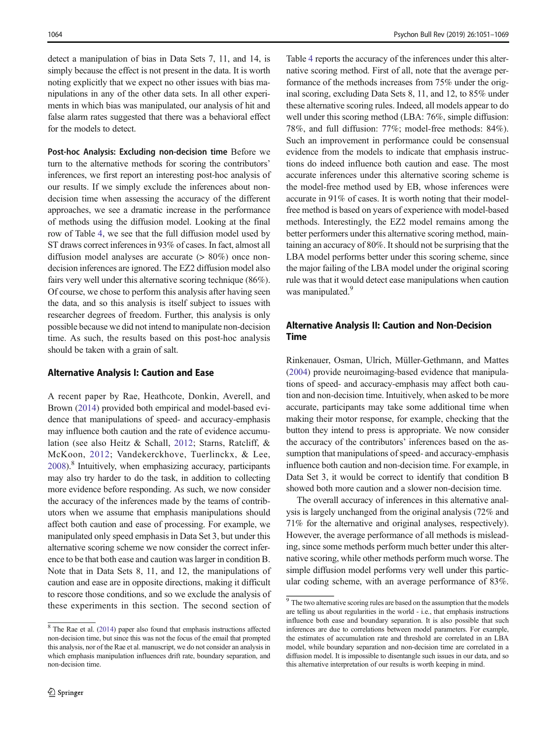detect a manipulation of bias in Data Sets 7, 11, and 14, is simply because the effect is not present in the data. It is worth noting explicitly that we expect no other issues with bias manipulations in any of the other data sets. In all other experiments in which bias was manipulated, our analysis of hit and false alarm rates suggested that there was a behavioral effect for the models to detect.

Post-hoc Analysis: Excluding non-decision time Before we turn to the alternative methods for scoring the contributors' inferences, we first report an interesting post-hoc analysis of our results. If we simply exclude the inferences about nondecision time when assessing the accuracy of the different approaches, we see a dramatic increase in the performance of methods using the diffusion model. Looking at the final row of Table [4,](#page-12-0) we see that the full diffusion model used by ST draws correct inferences in 93% of cases. In fact, almost all diffusion model analyses are accurate (> 80%) once nondecision inferences are ignored. The EZ2 diffusion model also fairs very well under this alternative scoring technique (86%). Of course, we chose to perform this analysis after having seen the data, and so this analysis is itself subject to issues with researcher degrees of freedom. Further, this analysis is only possible because we did not intend to manipulate non-decision time. As such, the results based on this post-hoc analysis should be taken with a grain of salt.

### Alternative Analysis I: Caution and Ease

A recent paper by Rae, Heathcote, Donkin, Averell, and Brown [\(2014](#page-17-0)) provided both empirical and model-based evidence that manipulations of speed- and accuracy-emphasis may influence both caution and the rate of evidence accumulation (see also Heitz & Schall, [2012;](#page-17-0) Starns, Ratcliff, & McKoon, [2012;](#page-18-0) Vandekerckhove, Tuerlinckx, & Lee, [2008\)](#page-18-0).8 Intuitively, when emphasizing accuracy, participants may also try harder to do the task, in addition to collecting more evidence before responding. As such, we now consider the accuracy of the inferences made by the teams of contributors when we assume that emphasis manipulations should affect both caution and ease of processing. For example, we manipulated only speed emphasis in Data Set 3, but under this alternative scoring scheme we now consider the correct inference to be that both ease and caution was larger in condition B. Note that in Data Sets 8, 11, and 12, the manipulations of caution and ease are in opposite directions, making it difficult to rescore those conditions, and so we exclude the analysis of these experiments in this section. The second section of

Table [4](#page-12-0) reports the accuracy of the inferences under this alternative scoring method. First of all, note that the average performance of the methods increases from 75% under the original scoring, excluding Data Sets 8, 11, and 12, to 85% under these alternative scoring rules. Indeed, all models appear to do well under this scoring method (LBA: 76%, simple diffusion: 78%, and full diffusion: 77%; model-free methods: 84%). Such an improvement in performance could be consensual evidence from the models to indicate that emphasis instructions do indeed influence both caution and ease. The most accurate inferences under this alternative scoring scheme is the model-free method used by EB, whose inferences were accurate in 91% of cases. It is worth noting that their modelfree method is based on years of experience with model-based methods. Interestingly, the EZ2 model remains among the better performers under this alternative scoring method, maintaining an accuracy of 80%. It should not be surprising that the LBA model performs better under this scoring scheme, since the major failing of the LBA model under the original scoring rule was that it would detect ease manipulations when caution was manipulated.<sup>9</sup>

# Alternative Analysis II: Caution and Non-Decision Time

Rinkenauer, Osman, Ulrich, Müller-Gethmann, and Mattes [\(2004\)](#page-18-0) provide neuroimaging-based evidence that manipulations of speed- and accuracy-emphasis may affect both caution and non-decision time. Intuitively, when asked to be more accurate, participants may take some additional time when making their motor response, for example, checking that the button they intend to press is appropriate. We now consider the accuracy of the contributors' inferences based on the assumption that manipulations of speed- and accuracy-emphasis influence both caution and non-decision time. For example, in Data Set 3, it would be correct to identify that condition B showed both more caution and a slower non-decision time.

The overall accuracy of inferences in this alternative analysis is largely unchanged from the original analysis (72% and 71% for the alternative and original analyses, respectively). However, the average performance of all methods is misleading, since some methods perform much better under this alternative scoring, while other methods perform much worse. The simple diffusion model performs very well under this particular coding scheme, with an average performance of 83%.

<sup>8</sup> The Rae et al. [\(2014](#page-17-0)) paper also found that emphasis instructions affected non-decision time, but since this was not the focus of the email that prompted this analysis, nor of the Rae et al. manuscript, we do not consider an analysis in which emphasis manipulation influences drift rate, boundary separation, and non-decision time.

<sup>&</sup>lt;sup>9</sup> The two alternative scoring rules are based on the assumption that the models are telling us about regularities in the world - i.e., that emphasis instructions influence both ease and boundary separation. It is also possible that such inferences are due to correlations between model parameters. For example, the estimates of accumulation rate and threshold are correlated in an LBA model, while boundary separation and non-decision time are correlated in a diffusion model. It is impossible to disentangle such issues in our data, and so this alternative interpretation of our results is worth keeping in mind.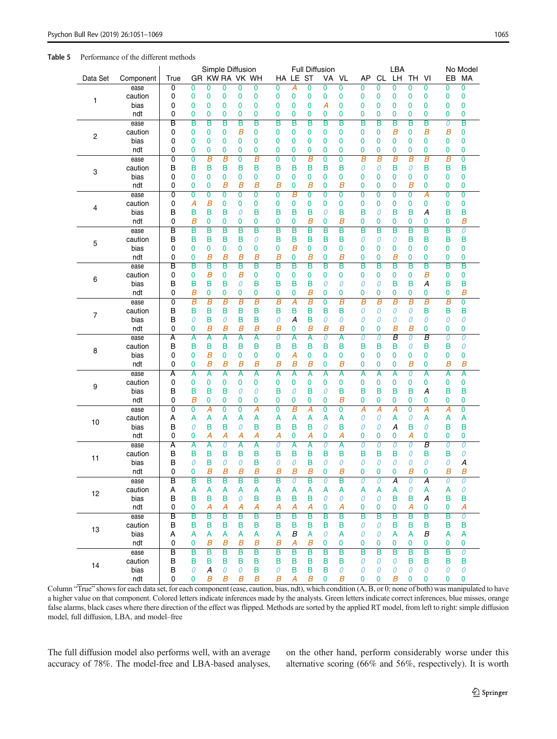<span id="page-14-0"></span>Table 5 Performance of the different methods

|                |           | Simple Diffusion          |                         |                         |                         |                         | <b>Full Diffusion</b>   |                         |                         |                         |    |                           |                           | No Model                |                           |                         |                          |                         |                          |
|----------------|-----------|---------------------------|-------------------------|-------------------------|-------------------------|-------------------------|-------------------------|-------------------------|-------------------------|-------------------------|----|---------------------------|---------------------------|-------------------------|---------------------------|-------------------------|--------------------------|-------------------------|--------------------------|
| Data Set       | Component | True                      |                         |                         | GR KW RA VK WH          |                         |                         |                         | HA LE ST                |                         | VA | VL                        | AP                        |                         | CL LH                     | TH                      | VI                       | EB                      | МA                       |
|                | ease      | 0                         | 0                       | 0                       | $\overline{0}$          | 0                       | 0                       | 0                       | A                       | 0                       | 0  | 0                         | $\overline{0}$            | $\overline{0}$          | 0                         | $\overline{0}$          | 0                        | 0                       | 0                        |
|                | caution   | 0                         | 0                       | 0                       | 0                       | 0                       | 0                       | 0                       | 0                       | 0                       | 0  | 0                         | 0                         | 0                       | 0                         | 0                       | 0                        | 0                       | 0                        |
| 1              | bias      | 0                         | 0                       | 0                       | 0                       | 0                       | 0                       | 0                       | 0                       | 0                       | А  | 0                         | 0                         | 0                       | 0                         | 0                       | 0                        | 0                       | 0                        |
|                | ndt       | 0                         | 0                       | 0                       | 0                       | 0                       | 0                       | 0                       | 0                       | 0                       | 0  | 0                         | 0                         | 0                       | 0                         | 0                       | 0                        | 0                       | 0                        |
|                |           |                           |                         |                         |                         |                         |                         |                         |                         |                         |    |                           |                           |                         |                           |                         |                          |                         |                          |
|                | ease      | B                         | B                       | B                       | B                       | $\overline{\mathtt{B}}$ | в                       | в                       | в                       | B                       | в  | в                         | B                         | B                       | в                         | B                       | в                        | 0                       | $\overline{\mathtt{B}}$  |
| $\overline{c}$ | caution   | 0                         | 0                       | 0                       | $\mathbf 0$             | B                       | 0                       | 0                       | 0                       | 0                       | 0  | 0                         | 0                         | 0                       | В                         | 0                       | Β                        | Β                       | 0                        |
|                | bias      | 0                         | 0                       | 0                       | 0                       | 0                       | 0                       | 0                       | 0                       | 0                       | 0  | 0                         | 0                         | 0                       | 0                         | 0                       | 0                        | 0                       | 0                        |
|                | ndt       | 0                         | 0                       | 0                       | 0                       | 0                       | 0                       | 0                       | 0                       | 0                       | 0  | 0                         | 0                         | 0                       | 0                         | 0                       | 0                        | 0                       | 0                        |
|                | ease      | 0                         | $\overline{0}$          | B                       | В                       | 0                       | В                       | 0                       | 0                       | B                       | 0  | 0                         | В                         | В                       | B                         | $\overline{B}$          | В                        | $\overline{\mathit{B}}$ | $\overline{0}$           |
|                | caution   | в                         | В                       | В                       | В                       | В                       | В                       | В                       | в                       | В                       | В  | В                         | 0                         | 0                       | В                         | 0                       | в                        | В                       | В                        |
| 3              | bias      | 0                         | 0                       | 0                       | $\mathbf 0$             | 0                       | 0                       | 0                       | 0                       | 0                       | 0  | 0                         | 0                         | 0                       | 0                         | 0                       | 0                        | 0                       | 0                        |
|                | ndt       | 0                         | 0                       | 0                       | В                       | Β                       | В                       | B                       | 0                       | B                       | 0  | В                         | 0                         | 0                       | 0                         | B                       | 0                        | 0                       | 0                        |
|                | ease      | $\overline{\mathfrak{o}}$ | $\overline{0}$          | $\overline{0}$          | $\overline{0}$          | 0                       | 0                       | 0                       | $\overline{\mathit{B}}$ | 0                       | 0  | $\overline{\mathfrak{o}}$ | $\overline{\mathfrak{o}}$ | 0                       | $\overline{\mathfrak{o}}$ | $\overline{0}$          | Α                        | 0                       | $\overline{0}$           |
|                | caution   | 0                         | А                       | В                       | 0                       | 0                       | 0                       | 0                       | 0                       | 0                       | 0  | 0                         | 0                         | 0                       | 0                         | 0                       | 0                        | 0                       | 0                        |
| 4              |           |                           |                         |                         |                         |                         |                         |                         |                         |                         |    |                           |                           |                         |                           |                         |                          |                         |                          |
|                | bias      | В                         | B                       | B                       | в                       | 0                       | В                       | B                       | В                       | в                       | 0  | В                         | B                         | 0                       | в                         | В                       | А                        | В                       | B                        |
|                | ndt       | 0                         | В                       | 0                       | 0                       | 0                       | 0                       | 0                       | 0                       | B                       | 0  | В                         | 0                         | 0                       | 0                         | 0                       | 0                        | 0                       | Β                        |
|                | ease      | B                         | B                       | B                       | B                       | B                       | В                       | в                       | B                       | B                       | В  | $\overline{\mathsf{B}}$   | $\overline{\mathsf{B}}$   | B                       | $\overline{\mathsf{B}}$   | B                       | B                        | B                       | $\overline{o}$           |
| 5              | caution   | В                         | в                       | В                       | в                       | В                       | 0                       | В                       | В                       | в                       | В  | В                         | 0                         | 0                       | 0                         | В                       | В                        | В                       | В                        |
|                | bias      | 0                         | 0                       | 0                       | 0                       | 0                       | 0                       | 0                       | В                       | 0                       | 0  | 0                         | 0                         | 0                       | 0                         | 0                       | 0                        | 0                       | 0                        |
|                | ndt       | 0                         | 0                       | В                       | В                       | Β                       | Β                       | Β                       | 0                       | Β                       | 0  | Β                         | 0                         | 0                       | В                         | 0                       | 0                        | 0                       | 0                        |
|                | ease      | $\overline{\mathsf{B}}$   | B                       | $\overline{\mathtt{B}}$ | B                       | $\overline{\mathsf{B}}$ | $\overline{\mathsf{B}}$ | $\overline{\mathsf{B}}$ | в                       | $\overline{\mathsf{B}}$ | B  | $\overline{B}$            | $\overline{\mathsf{B}}$   | $\overline{\mathtt{B}}$ | $\overline{\mathtt{B}}$   | $\overline{\mathsf{B}}$ | B                        | B                       | B                        |
|                | caution   | 0                         | 0                       | Β                       | 0                       | Β                       | 0                       | 0                       | 0                       | 0                       | 0  | 0                         | 0                         | 0                       | 0                         | 0                       | Β                        | 0                       | 0                        |
| 6              | bias      | B                         | B                       | B                       | в                       | 0                       | В                       | B                       | В                       | в                       | 0  | 0                         | 0                         | 0                       | В                         | В                       | А                        | B                       | В                        |
|                | ndt       | 0                         | В                       | 0                       | 0                       | 0                       | 0                       | 0                       | 0                       | B                       | 0  | 0                         | 0                         | 0                       | 0                         | 0                       | 0                        | 0                       | B                        |
|                |           |                           |                         |                         |                         |                         |                         |                         |                         |                         |    |                           |                           |                         |                           |                         |                          |                         |                          |
|                | ease      | $\overline{0}$            | В                       | B                       | В                       | В                       | В                       | В                       | Α                       | B                       | 0  | В                         | В                         | В                       | В                         | B                       | В                        | $\overline{B}$          | 0                        |
| 7              | caution   | В                         | в                       | В                       | В                       | В                       | В                       | В                       | В                       | в                       | В  | В                         | 0                         | 0                       | 0                         | 0                       | в                        | В                       | В                        |
|                | bias      | В                         | 0                       | В                       | 0                       | В                       | В                       | 0                       | А                       | в                       | 0  | 0                         | 0                         | 0                       | 0                         | 0                       | 0                        | 0                       | 0                        |
|                | ndt       | 0                         | 0                       | В                       | В                       | Β                       | Β                       | Β                       | 0                       | B                       | Β  | Β                         | 0                         | 0                       | В                         | В                       | 0                        | 0                       | 0                        |
|                | ease      | Ā                         | Α                       | Ā                       | Ā                       | Ā                       | Ā                       | $\overline{o}$          | Ā                       | A                       | 0  | A                         | 0                         | 0                       | $\overline{B}$            | 0                       | $\overline{B}$           | 0                       | 0                        |
|                | caution   | В                         | В                       | В                       | В                       | в                       | В                       | В                       | в                       | В                       | В  | В                         | В                         | В                       | в                         | 0                       | В                        | В                       | 0                        |
| 8              | bias      | 0                         | $\mathbf 0$             | B                       | $\mathbf 0$             | 0                       | 0                       | 0                       | Α                       | 0                       | 0  | 0                         | 0                         | 0                       | 0                         | 0                       | 0                        | 0                       | 0                        |
|                | ndt       | 0                         | 0                       | B                       | B                       | В                       | В                       | В                       | В                       | В                       | 0  | В                         | 0                         | 0                       | 0                         | В                       | 0                        | В                       | B                        |
|                | ease      | Ā                         | A                       | Ā                       | Ā                       | Ā                       | Ā                       | A                       | A                       | A                       | A  | Ā                         | Ā                         | А                       | $\overline{\mathsf{A}}$   | 0                       | Ā                        | Ā                       | $\overline{\mathsf{A}}$  |
|                | caution   | 0                         | 0                       |                         |                         |                         |                         |                         |                         |                         |    |                           |                           |                         |                           |                         |                          |                         | 0                        |
| 9              |           |                           |                         | 0                       | 0                       | 0                       | 0                       | 0                       | 0                       | 0                       | 0  | 0                         | 0                         | 0                       | 0                         | 0                       | 0                        | 0                       |                          |
|                | bias      | В                         | В                       | В                       | в                       | 0                       | 0                       | B                       | 0                       | в                       | 0  | В                         | В                         | В                       | В                         | В                       | А                        | В                       | В                        |
|                | ndt       | 0                         | В                       | 0                       | 0                       | 0                       | 0                       | 0                       | 0                       | 0                       | 0  | Β                         | 0                         | 0                       | 0                         | 0                       | 0                        | 0                       | 0                        |
|                | ease      | 0                         | 0                       | Ā                       | 0                       | Ō                       | Α                       | 0                       | B                       | A                       | 0  | 0                         | А                         | А                       | А                         | 0                       | А                        | Α                       | $\overline{0}$           |
| 10             | caution   | А                         | А                       | А                       | А                       | А                       | А                       | А                       | A                       | A                       | A  | А                         | 0                         | 0                       | A                         | 0                       | A                        | A                       | А                        |
|                | bias      | В                         | 0                       | B                       | B                       | 0                       | B                       | в                       | В                       | в                       | 0  | В                         | 0                         | 0                       | А                         | в                       | 0                        | B                       | B                        |
|                | ndt       | 0                         | 0                       | Α                       | Α                       | А                       | А                       | Α                       | 0                       | А                       | 0  | Α                         | 0                         | 0                       | 0                         | Α                       | 0                        | 0                       | 0                        |
|                | ease      | А                         | A                       | Ā                       | Ō                       | Ā                       | Ā                       | $\overline{o}$          | Ā                       | А                       | 0  | Ā                         | 0                         | 0                       | 0                         | Ō                       | $\overline{\mathit{B}}$  | $\overline{o}$          | $\overline{o}$           |
|                | caution   | В                         | В                       | В                       | в                       | В                       | В                       | В                       | В                       | В                       | В  | В                         | В                         | В                       | В                         | 0                       | в                        | в                       | 0                        |
| 11             | bias      | В                         | 0                       | В                       | 0                       | 0                       | B                       | 0                       | 0                       | в                       | 0  | 0                         | 0                         | 0                       | 0                         | 0                       | 0                        | 0                       | А                        |
|                | ndt       | 0                         | 0                       | В                       | В                       | B                       | B                       | B                       | В                       | B                       | 0  | в                         | 0                         | 0                       | 0                         | В                       | 0                        | В                       | B                        |
|                |           |                           |                         |                         |                         |                         |                         |                         |                         |                         |    | B                         |                           |                         |                           |                         |                          |                         |                          |
|                | ease      | $\overline{\mathsf{B}}$   | B                       | B                       | B                       | B                       | B                       | B                       | 0                       | В                       | Ō  |                           | 0                         | 0                       | $\overline{\mathcal{A}}$  | ō                       | $\overline{\mathcal{A}}$ | 0                       | 0                        |
| 12             | caution   | Α                         | A                       | A                       | A                       | A                       | А                       | A                       | А                       | A                       | Α  | А                         | А                         | А                       | A                         | 0                       | A                        | A                       | 0                        |
|                | bias      | B                         | B                       | B                       | B                       | 0                       | B                       | B                       | B                       | B                       | 0  | 0                         | 0                         | 0                       | B                         | B                       | A                        | B                       | B                        |
|                | ndt       | 0                         | 0                       | A                       | Α                       | А                       | Α                       | А                       | А                       | Α                       | 0  | Α                         | 0                         | 0                       | 0                         | Α                       | 0                        | 0                       | Α                        |
|                | ease      | $\overline{\mathsf{B}}$   | $\overline{\mathsf{B}}$ | $\overline{\mathsf{B}}$ | $\overline{\mathsf{B}}$ | $\overline{\mathsf{B}}$ | $\overline{\mathsf{B}}$ | $\overline{\mathsf{B}}$ | $\overline{\mathtt{B}}$ | $\overline{\mathsf{B}}$ | в  | $\overline{\mathsf{B}}$   | $\overline{\mathsf{B}}$   | $\overline{\mathsf{B}}$ | $\overline{\mathsf{B}}$   | $\overline{\mathsf{B}}$ | $\overline{\mathsf{B}}$  | $\overline{\mathsf{B}}$ | $\overline{\mathcal{O}}$ |
| 13             | caution   | В                         | в                       | в                       | в                       | В                       | в                       | в                       | В                       | в                       | В  | в                         | 0                         | 0                       | B                         | в                       | в                        | в                       | в                        |
|                | bias      | Α                         | A                       | A                       | A                       | A                       | A                       | А                       | В                       | A                       | 0  | А                         | 0                         | 0                       | A                         | A                       | B                        | A                       | A                        |
|                | ndt       | 0                         | 0                       | $\boldsymbol{B}$        | В                       | В                       | В                       | В                       | А                       | B                       | 0  | 0                         | 0                         | 0                       | 0                         | 0                       | 0                        | 0                       | 0                        |
|                |           | $\overline{\mathsf{B}}$   | $\overline{\mathsf{B}}$ | $\overline{\mathsf{B}}$ | $\overline{\mathsf{B}}$ | $\overline{\mathsf{B}}$ | $\overline{\mathsf{B}}$ | $\overline{\mathsf{B}}$ | $\overline{\mathsf{B}}$ | в                       | в  | $\overline{\mathsf{B}}$   | $\overline{\mathsf{B}}$   | $\overline{\mathsf{B}}$ | $\overline{\mathsf{B}}$   | $\overline{\mathsf{B}}$ | $\overline{\mathsf{B}}$  | $\overline{\mathsf{B}}$ | $\overline{\mathcal{O}}$ |
|                | ease      |                           |                         |                         |                         |                         |                         |                         |                         |                         |    |                           |                           |                         |                           |                         |                          |                         |                          |
| 14             | caution   | B                         | в                       | B                       | в                       | В                       | в                       | В                       | В                       | в                       | В  | B                         | 0                         | 0                       | 0                         | В                       | B                        | в                       | в                        |
|                | bias      | B                         | 0                       | A                       | 0                       | 0                       | в                       | 0                       | в                       | в                       | В  | 0                         | 0                         | 0                       | 0                         | 0                       | 0                        | 0                       | $\cal O$                 |
|                | ndt       | 0                         | 0                       | $\boldsymbol{B}$        | $\boldsymbol{B}$        | $\boldsymbol{B}$        | $\boldsymbol{B}$        | B                       | $\overline{A}$          | $\boldsymbol{B}$        | 0  | В                         | 0                         | 0                       | B                         | 0                       | $\mathbf 0$              | 0                       | 0                        |

Column "True" shows for each data set, for each component (ease, caution, bias, ndt), which condition (A, B, or 0: none of both) was manipulated to have a higher value on that component. Colored letters indicate inferences made by the analysts. Green letters indicate correct inferences, blue misses, orange false alarms, black cases where there direction of the effect was flipped. Methods are sorted by the applied RT model, from left to right: simple diffusion model, full diffusion, LBA, and model–free

The full diffusion model also performs well, with an average accuracy of 78%. The model-free and LBA-based analyses,

on the other hand, perform considerably worse under this alternative scoring (66% and 56%, respectively). It is worth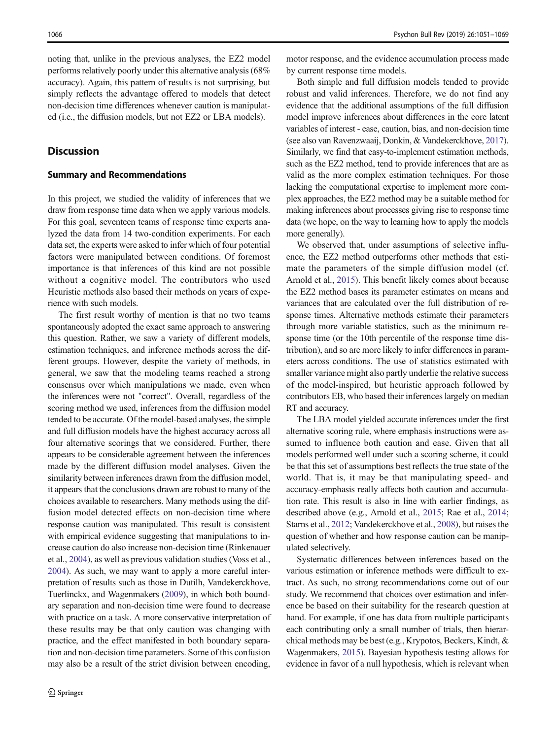noting that, unlike in the previous analyses, the EZ2 model performs relatively poorly under this alternative analysis (68% accuracy). Again, this pattern of results is not surprising, but simply reflects the advantage offered to models that detect non-decision time differences whenever caution is manipulated (i.e., the diffusion models, but not EZ2 or LBA models).

### **Discussion**

### Summary and Recommendations

In this project, we studied the validity of inferences that we draw from response time data when we apply various models. For this goal, seventeen teams of response time experts analyzed the data from 14 two-condition experiments. For each data set, the experts were asked to infer which of four potential factors were manipulated between conditions. Of foremost importance is that inferences of this kind are not possible without a cognitive model. The contributors who used Heuristic methods also based their methods on years of experience with such models.

The first result worthy of mention is that no two teams spontaneously adopted the exact same approach to answering this question. Rather, we saw a variety of different models, estimation techniques, and inference methods across the different groups. However, despite the variety of methods, in general, we saw that the modeling teams reached a strong consensus over which manipulations we made, even when the inferences were not "correct". Overall, regardless of the scoring method we used, inferences from the diffusion model tended to be accurate. Of the model-based analyses, the simple and full diffusion models have the highest accuracy across all four alternative scorings that we considered. Further, there appears to be considerable agreement between the inferences made by the different diffusion model analyses. Given the similarity between inferences drawn from the diffusion model, it appears that the conclusions drawn are robust to many of the choices available to researchers. Many methods using the diffusion model detected effects on non-decision time where response caution was manipulated. This result is consistent with empirical evidence suggesting that manipulations to increase caution do also increase non-decision time (Rinkenauer et al., [2004](#page-18-0)), as well as previous validation studies (Voss et al., [2004\)](#page-18-0). As such, we may want to apply a more careful interpretation of results such as those in Dutilh, Vandekerckhove, Tuerlinckx, and Wagenmakers [\(2009\)](#page-17-0), in which both boundary separation and non-decision time were found to decrease with practice on a task. A more conservative interpretation of these results may be that only caution was changing with practice, and the effect manifested in both boundary separation and non-decision time parameters. Some of this confusion may also be a result of the strict division between encoding,

motor response, and the evidence accumulation process made by current response time models.

Both simple and full diffusion models tended to provide robust and valid inferences. Therefore, we do not find any evidence that the additional assumptions of the full diffusion model improve inferences about differences in the core latent variables of interest - ease, caution, bias, and non-decision time (see also van Ravenzwaaij, Donkin, & Vandekerckhove, [2017\)](#page-18-0). Similarly, we find that easy-to-implement estimation methods, such as the EZ2 method, tend to provide inferences that are as valid as the more complex estimation techniques. For those lacking the computational expertise to implement more complex approaches, the EZ2 method may be a suitable method for making inferences about processes giving rise to response time data (we hope, on the way to learning how to apply the models more generally).

We observed that, under assumptions of selective influence, the EZ2 method outperforms other methods that estimate the parameters of the simple diffusion model (cf. Arnold et al., [2015\)](#page-17-0). This benefit likely comes about because the EZ2 method bases its parameter estimates on means and variances that are calculated over the full distribution of response times. Alternative methods estimate their parameters through more variable statistics, such as the minimum response time (or the 10th percentile of the response time distribution), and so are more likely to infer differences in parameters across conditions. The use of statistics estimated with smaller variance might also partly underlie the relative success of the model-inspired, but heuristic approach followed by contributors EB, who based their inferences largely on median RT and accuracy.

The LBA model yielded accurate inferences under the first alternative scoring rule, where emphasis instructions were assumed to influence both caution and ease. Given that all models performed well under such a scoring scheme, it could be that this set of assumptions best reflects the true state of the world. That is, it may be that manipulating speed- and accuracy-emphasis really affects both caution and accumulation rate. This result is also in line with earlier findings, as described above (e.g., Arnold et al., [2015;](#page-17-0) Rae et al., [2014;](#page-17-0) Starns et al., [2012;](#page-18-0) Vandekerckhove et al., [2008](#page-18-0)), but raises the question of whether and how response caution can be manipulated selectively.

Systematic differences between inferences based on the various estimation or inference methods were difficult to extract. As such, no strong recommendations come out of our study. We recommend that choices over estimation and inference be based on their suitability for the research question at hand. For example, if one has data from multiple participants each contributing only a small number of trials, then hierarchical methods may be best (e.g., Krypotos, Beckers, Kindt, & Wagenmakers, [2015\)](#page-17-0). Bayesian hypothesis testing allows for evidence in favor of a null hypothesis, which is relevant when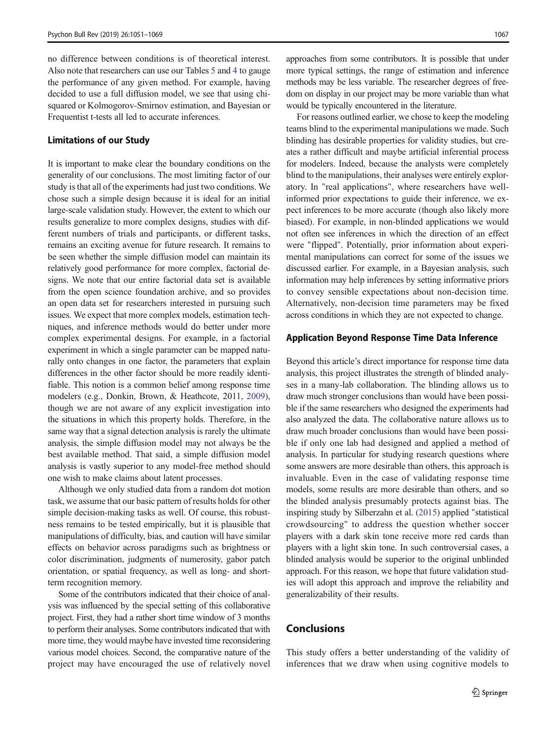no difference between conditions is of theoretical interest. Also note that researchers can use our Tables [5](#page-14-0) and [4](#page-12-0) to gauge the performance of any given method. For example, having decided to use a full diffusion model, we see that using chisquared or Kolmogorov-Smirnov estimation, and Bayesian or Frequentist t-tests all led to accurate inferences.

### Limitations of our Study

It is important to make clear the boundary conditions on the generality of our conclusions. The most limiting factor of our study is that all of the experiments had just two conditions. We chose such a simple design because it is ideal for an initial large-scale validation study. However, the extent to which our results generalize to more complex designs, studies with different numbers of trials and participants, or different tasks, remains an exciting avenue for future research. It remains to be seen whether the simple diffusion model can maintain its relatively good performance for more complex, factorial designs. We note that our entire factorial data set is available from the open science foundation archive, and so provides an open data set for researchers interested in pursuing such issues. We expect that more complex models, estimation techniques, and inference methods would do better under more complex experimental designs. For example, in a factorial experiment in which a single parameter can be mapped naturally onto changes in one factor, the parameters that explain differences in the other factor should be more readily identifiable. This notion is a common belief among response time modelers (e.g., Donkin, Brown, & Heathcote, 2011, [2009](#page-17-0)), though we are not aware of any explicit investigation into the situations in which this property holds. Therefore, in the same way that a signal detection analysis is rarely the ultimate analysis, the simple diffusion model may not always be the best available method. That said, a simple diffusion model analysis is vastly superior to any model-free method should one wish to make claims about latent processes.

Although we only studied data from a random dot motion task, we assume that our basic pattern of results holds for other simple decision-making tasks as well. Of course, this robustness remains to be tested empirically, but it is plausible that manipulations of difficulty, bias, and caution will have similar effects on behavior across paradigms such as brightness or color discrimination, judgments of numerosity, gabor patch orientation, or spatial frequency, as well as long- and shortterm recognition memory.

Some of the contributors indicated that their choice of analysis was influenced by the special setting of this collaborative project. First, they had a rather short time window of 3 months to perform their analyses. Some contributors indicated that with more time, they would maybe have invested time reconsidering various model choices. Second, the comparative nature of the project may have encouraged the use of relatively novel approaches from some contributors. It is possible that under more typical settings, the range of estimation and inference methods may be less variable. The researcher degrees of freedom on display in our project may be more variable than what would be typically encountered in the literature.

For reasons outlined earlier, we chose to keep the modeling teams blind to the experimental manipulations we made. Such blinding has desirable properties for validity studies, but creates a rather difficult and maybe artificial inferential process for modelers. Indeed, because the analysts were completely blind to the manipulations, their analyses were entirely exploratory. In "real applications", where researchers have wellinformed prior expectations to guide their inference, we expect inferences to be more accurate (though also likely more biased). For example, in non-blinded applications we would not often see inferences in which the direction of an effect were "flipped". Potentially, prior information about experimental manipulations can correct for some of the issues we discussed earlier. For example, in a Bayesian analysis, such information may help inferences by setting informative priors to convey sensible expectations about non-decision time. Alternatively, non-decision time parameters may be fixed across conditions in which they are not expected to change.

### Application Beyond Response Time Data Inference

Beyond this article's direct importance for response time data analysis, this project illustrates the strength of blinded analyses in a many-lab collaboration. The blinding allows us to draw much stronger conclusions than would have been possible if the same researchers who designed the experiments had also analyzed the data. The collaborative nature allows us to draw much broader conclusions than would have been possible if only one lab had designed and applied a method of analysis. In particular for studying research questions where some answers are more desirable than others, this approach is invaluable. Even in the case of validating response time models, some results are more desirable than others, and so the blinded analysis presumably protects against bias. The inspiring study by Silberzahn et al. ([2015](#page-18-0)) applied "statistical crowdsourcing" to address the question whether soccer players with a dark skin tone receive more red cards than players with a light skin tone. In such controversial cases, a blinded analysis would be superior to the original unblinded approach. For this reason, we hope that future validation studies will adopt this approach and improve the reliability and generalizability of their results.

# Conclusions

This study offers a better understanding of the validity of inferences that we draw when using cognitive models to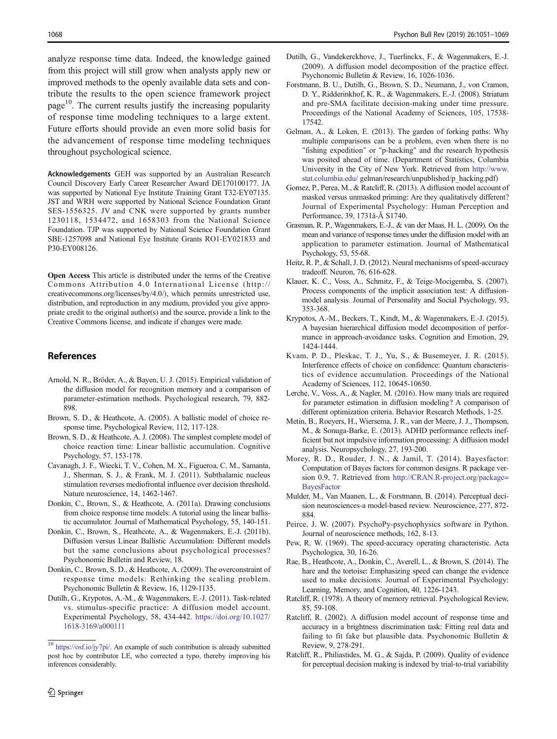<span id="page-17-0"></span>analyze response time data. Indeed, the knowledge gained from this project will still grow when analysts apply new or improved methods to the openly available data sets and contribute the results to the open science framework project page<sup>10</sup>. The current results justify the increasing popularity of response time modeling techniques to a large extent. Future efforts should provide an even more solid basis for the advancement of response time modeling techniques throughout psychological science.

Acknowledgements GEH was supported by an Australian Research Council Discovery Early Career Researcher Award DE170100177. JA was supported by National Eye Institute Training Grant T32-EY07135. JST and WRH were supported by National Science Foundation Grant SES-1556325. JV and CNK were supported by grants number 1230118, 1534472, and 1658303 from the National Science Foundation. TJP was supported by National Science Foundation Grant SBE-1257098 and National Eye Institute Grants RO1-EY021833 and P30-EY008126.

Open Access This article is distributed under the terms of the Creative Commons Attribution 4.0 International License (http:// creativecommons.org/licenses/by/4.0/), which permits unrestricted use, distribution, and reproduction in any medium, provided you give appropriate credit to the original author(s) and the source, provide a link to the Creative Commons license, and indicate if changes were made.

#### References

- Arnold, N. R., Bröder, A., & Bayen, U. J. (2015). Empirical validation of the diffusion model for recognition memory and a comparison of parameter-estimation methods. Psychological research, 79, 882- 898.
- Brown, S. D., & Heathcote, A. (2005). A ballistic model of choice response time. Psychological Review, 112, 117-128.
- Brown, S. D., & Heathcote, A. J. (2008). The simplest complete model of choice reaction time: Linear ballistic accumulation. Cognitive Psychology, 57, 153-178.
- Cavanagh, J. F., Wiecki, T. V., Cohen, M. X., Figueroa, C. M., Samanta, J., Sherman, S. J., & Frank, M. J. (2011). Subthalamic nucleus stimulation reverses mediofrontal influence over decision threshold. Nature neuroscience, 14, 1462-1467.
- Donkin, C., Brown, S., & Heathcote, A. (2011a). Drawing conclusions from choice response time models: A tutorial using the linear ballistic accumulator. Journal of Mathematical Psychology, 55, 140-151.
- Donkin, C., Brown, S., Heathcote, A., & Wagenmakers, E.-J. (2011b). Diffusion versus Linear Ballistic Accumulation: Different models but the same conclusions about psychological processes? Psychonomic Bulletin and Review, 18.
- Donkin, C., Brown, S. D., & Heathcote, A. (2009). The overconstraint of response time models: Rethinking the scaling problem. Psychonomic Bulletin & Review, 16, 1129-1135.
- Dutilh, G., Krypotos, A.-M., & Wagenmakers, E.-J. (2011). Task-related vs. stimulus-specific practice: A diffusion model account. Experimental Psychology, 58, 434-442. [https://doi.org/10.1027/](https://doi.org/10.1027/1618-3169/a000111) [1618-3169/a000111](https://doi.org/10.1027/1618-3169/a000111)
- Dutilh, G., Vandekerckhove, J., Tuerlinckx, F., & Wagenmakers, E.-J. (2009). A diffusion model decomposition of the practice effect. Psychonomic Bulletin & Review, 16, 1026-1036.
- Forstmann, B. U., Dutilh, G., Brown, S. D., Neumann, J., von Cramon, D. Y., Ridderinkhof, K. R., & Wagenmakers, E.-J. (2008). Striatum and pre-SMA facilitate decision-making under time pressure. Proceedings of the National Academy of Sciences, 105, 17538- 17542.
- Gelman, A., & Loken, E. (2013). The garden of forking paths: Why multiple comparisons can be a problem, even when there is no "fishing expedition" or "p-hacking" and the research hypothesis was posited ahead of time. (Department of Statistics, Columbia University in the City of New York. Retrieved from [http://www.](http://www.stat.columbia.edu/) [stat.columbia.edu/](http://www.stat.columbia.edu/) gelman/research/unpublished/p\_hacking.pdf)
- Gomez, P., Perea, M., & Ratcliff, R. (2013). A diffusion model account of masked versus unmasked priming: Are they qualitatively different? Journal of Experimental Psychology: Human Perception and Performance, 39, 1731â-Ă S1740.
- Grasman, R. P., Wagenmakers, E.-J., & van der Maas, H. L. (2009). On the mean and variance of response times under the diffusion model with an application to parameter estimation. Journal of Mathematical Psychology, 53, 55-68.
- Heitz, R. P., & Schall, J. D. (2012). Neural mechanisms of speed-accuracy tradeoff. Neuron, 76, 616-628.
- Klauer, K. C., Voss, A., Schmitz, F., & Teige-Mocigemba, S. (2007). Process components of the implicit association test: A diffusionmodel analysis. Journal of Personality and Social Psychology, 93, 353-368.
- Krypotos, A.-M., Beckers, T., Kindt, M., & Wagenmakers, E.-J. (2015). A bayesian hierarchical diffusion model decomposition of performance in approach-avoidance tasks. Cognition and Emotion, 29, 1424-1444.
- Kvam, P. D., Pleskac, T. J., Yu, S., & Busemeyer, J. R. (2015). Interference effects of choice on confidence: Quantum characteristics of evidence accumulation. Proceedings of the National Academy of Sciences, 112, 10645-10650.
- Lerche, V., Voss, A., & Nagler, M. (2016). How many trials are required for parameter estimation in diffusion modeling? A comparison of different optimization criteria. Behavior Research Methods, 1-25.
- Metin, B., Roeyers, H., Wiersema, J. R., van der Meere, J. J., Thompson, M., & Sonuga-Barke, E. (2013). ADHD performance reflects inefficient but not impulsive information processing: A diffusion model analysis. Neuropsychology, 27, 193-200.
- Morey, R. D., Rouder, J. N., & Jamil, T. (2014). Bayesfactor: Computation of Bayes factors for common designs. R package version 0.9, 7. Retrieved from [http://CRAN.R-project.org/package=](http://cran.r-project.org/package=bayesfactor/) **[BayesFactor](http://cran.r-project.org/package=bayesfactor/)**
- Mulder, M., Van Maanen, L., & Forstmann, B. (2014). Perceptual decision neurosciences-a model-based review. Neuroscience, 277, 872- 884.
- Peirce, J. W. (2007). PsychoPy-psychophysics software in Python. Journal of neuroscience methods, 162, 8-13.
- Pew, R. W. (1969). The speed-accuracy operating characteristic. Acta Psychologica, 30, 16-26.
- Rae, B., Heathcote, A., Donkin, C., Averell, L., & Brown, S. (2014). The hare and the tortoise: Emphasizing speed can change the evidence used to make decisions. Journal of Experimental Psychology: Learning, Memory, and Cognition, 40, 1226-1243.
- Ratcliff, R. (1978). A theory of memory retrieval. Psychological Review, 85, 59-108.
- Ratcliff, R. (2002). A diffusion model account of response time and accuracy in a brightness discrimination task: Fitting real data and failing to fit fake but plausible data. Psychonomic Bulletin & Review, 9, 278-291.
- Ratcliff, R., Philiastides, M. G., & Sajda, P. (2009). Quality of evidence for perceptual decision making is indexed by trial-to-trial variability

<sup>10</sup> <https://osf.io/jy7pi/>. An example of such contribution is already submitted post hoc by contributor LE, who corrected a typo, thereby improving his inferences considerably.